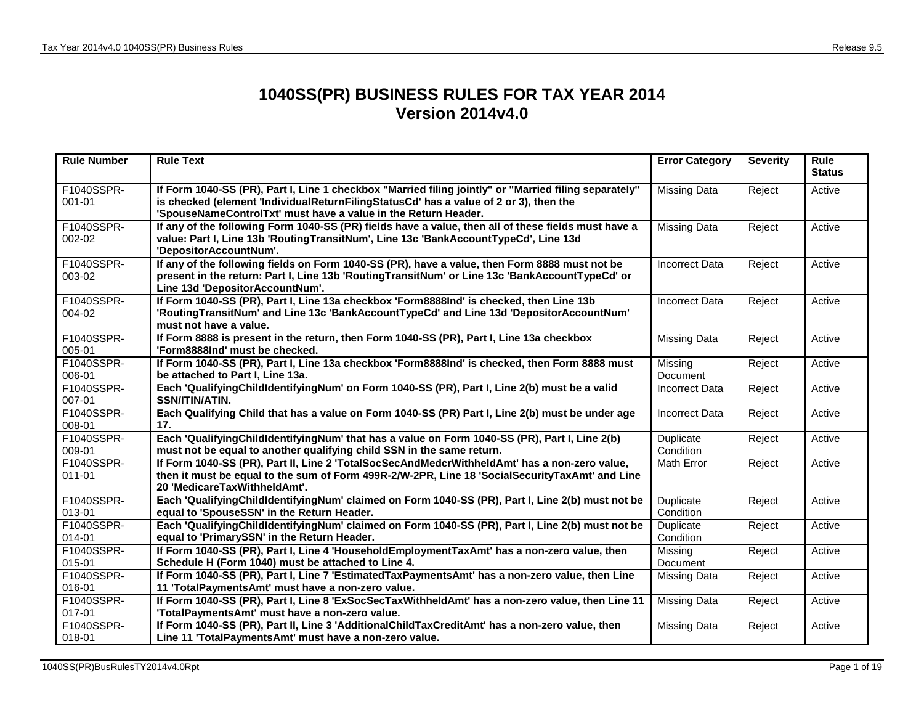## **1040SS(PR) BUSINESS RULES FOR TAX YEAR 2014 Version 2014v4.0**

| <b>Rule Number</b>       | <b>Rule Text</b>                                                                                                                                                                                                                                                 | <b>Error Category</b>  | <b>Severity</b> | Rule<br><b>Status</b> |
|--------------------------|------------------------------------------------------------------------------------------------------------------------------------------------------------------------------------------------------------------------------------------------------------------|------------------------|-----------------|-----------------------|
| F1040SSPR-<br>$001 - 01$ | If Form 1040-SS (PR), Part I, Line 1 checkbox "Married filing jointly" or "Married filing separately"<br>is checked (element 'IndividualReturnFilingStatusCd' has a value of 2 or 3), then the<br>'SpouseNameControlTxt' must have a value in the Return Header. | <b>Missing Data</b>    | Reject          | Active                |
| F1040SSPR-<br>002-02     | If any of the following Form 1040-SS (PR) fields have a value, then all of these fields must have a<br>value: Part I, Line 13b 'RoutingTransitNum', Line 13c 'BankAccountTypeCd', Line 13d<br>'DepositorAccountNum'.                                             | <b>Missing Data</b>    | Reject          | Active                |
| F1040SSPR-<br>003-02     | If any of the following fields on Form 1040-SS (PR), have a value, then Form 8888 must not be<br>present in the return: Part I, Line 13b 'RoutingTransitNum' or Line 13c 'BankAccountTypeCd' or<br>Line 13d 'DepositorAccountNum'.                               | <b>Incorrect Data</b>  | Reject          | Active                |
| F1040SSPR-<br>004-02     | If Form 1040-SS (PR), Part I, Line 13a checkbox 'Form8888Ind' is checked, then Line 13b<br>'RoutingTransitNum' and Line 13c 'BankAccountTypeCd' and Line 13d 'DepositorAccountNum'<br>must not have a value.                                                     | Incorrect Data         | Reject          | Active                |
| F1040SSPR-<br>005-01     | If Form 8888 is present in the return, then Form 1040-SS (PR), Part I, Line 13a checkbox<br>'Form8888Ind' must be checked.                                                                                                                                       | <b>Missing Data</b>    | Reject          | Active                |
| F1040SSPR-<br>006-01     | If Form 1040-SS (PR), Part I, Line 13a checkbox 'Form8888Ind' is checked, then Form 8888 must<br>be attached to Part I, Line 13a.                                                                                                                                | Missing<br>Document    | Reject          | Active                |
| F1040SSPR-<br>007-01     | Each 'QualifyingChildldentifyingNum' on Form 1040-SS (PR), Part I, Line 2(b) must be a valid<br>SSN/ITIN/ATIN.                                                                                                                                                   | Incorrect Data         | Reject          | Active                |
| F1040SSPR-<br>008-01     | Each Qualifying Child that has a value on Form 1040-SS (PR) Part I, Line 2(b) must be under age<br>17.                                                                                                                                                           | <b>Incorrect Data</b>  | Reject          | Active                |
| F1040SSPR-<br>009-01     | Each 'QualifyingChildIdentifyingNum' that has a value on Form 1040-SS (PR), Part I, Line 2(b)<br>must not be equal to another qualifying child SSN in the same return.                                                                                           | Duplicate<br>Condition | Reject          | Active                |
| F1040SSPR-<br>$011 - 01$ | If Form 1040-SS (PR), Part II, Line 2 'TotalSocSecAndMedcrWithheldAmt' has a non-zero value,<br>then it must be equal to the sum of Form 499R-2/W-2PR, Line 18 'SocialSecurityTaxAmt' and Line<br>20 'MedicareTaxWithheldAmt'.                                   | Math Error             | Reject          | Active                |
| F1040SSPR-<br>013-01     | Each 'QualifyingChildldentifyingNum' claimed on Form 1040-SS (PR), Part I, Line 2(b) must not be<br>equal to 'SpouseSSN' in the Return Header.                                                                                                                   | Duplicate<br>Condition | Reject          | Active                |
| F1040SSPR-<br>014-01     | Each 'QualifyingChildldentifyingNum' claimed on Form 1040-SS (PR), Part I, Line 2(b) must not be<br>equal to 'PrimarySSN' in the Return Header.                                                                                                                  | Duplicate<br>Condition | Reject          | Active                |
| F1040SSPR-<br>015-01     | If Form 1040-SS (PR), Part I, Line 4 'HouseholdEmploymentTaxAmt' has a non-zero value, then<br>Schedule H (Form 1040) must be attached to Line 4.                                                                                                                | Missing<br>Document    | Reject          | Active                |
| F1040SSPR-<br>016-01     | If Form 1040-SS (PR), Part I, Line 7 'EstimatedTaxPaymentsAmt' has a non-zero value, then Line<br>11 'TotalPaymentsAmt' must have a non-zero value.                                                                                                              | <b>Missing Data</b>    | Reject          | Active                |
| F1040SSPR-<br>017-01     | If Form 1040-SS (PR), Part I, Line 8 'ExSocSecTaxWithheldAmt' has a non-zero value, then Line 11<br>'TotalPaymentsAmt' must have a non-zero value.                                                                                                               | <b>Missing Data</b>    | Reject          | Active                |
| F1040SSPR-<br>018-01     | If Form 1040-SS (PR), Part II, Line 3 'AdditionalChildTaxCreditAmt' has a non-zero value, then<br>Line 11 'TotalPaymentsAmt' must have a non-zero value.                                                                                                         | <b>Missing Data</b>    | Reject          | Active                |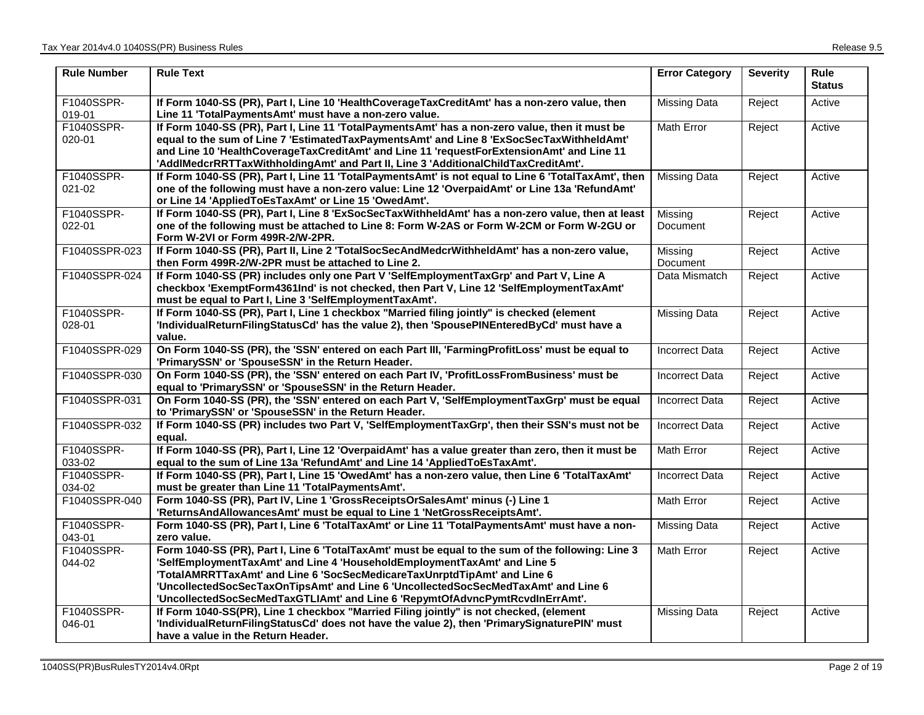| <b>Rule Number</b>   | <b>Rule Text</b>                                                                                                                                                                                                                                                                                                                                                                                                                | <b>Error Category</b> | <b>Severity</b> | <b>Rule</b><br><b>Status</b> |
|----------------------|---------------------------------------------------------------------------------------------------------------------------------------------------------------------------------------------------------------------------------------------------------------------------------------------------------------------------------------------------------------------------------------------------------------------------------|-----------------------|-----------------|------------------------------|
| F1040SSPR-<br>019-01 | If Form 1040-SS (PR), Part I, Line 10 'HealthCoverageTaxCreditAmt' has a non-zero value, then<br>Line 11 'TotalPaymentsAmt' must have a non-zero value.                                                                                                                                                                                                                                                                         | <b>Missing Data</b>   | Reject          | Active                       |
| F1040SSPR-<br>020-01 | If Form 1040-SS (PR), Part I, Line 11 'TotalPaymentsAmt' has a non-zero value, then it must be<br>equal to the sum of Line 7 'EstimatedTaxPaymentsAmt' and Line 8 'ExSocSecTaxWithheldAmt'<br>and Line 10 'HealthCoverageTaxCreditAmt' and Line 11 'requestForExtensionAmt' and Line 11<br>'AddIMedcrRRTTaxWithholdingAmt' and Part II, Line 3 'AdditionalChildTaxCreditAmt'.                                                   | Math Error            | Reject          | Active                       |
| F1040SSPR-<br>021-02 | If Form 1040-SS (PR), Part I, Line 11 'TotalPaymentsAmt' is not equal to Line 6 'TotalTaxAmt', then<br>one of the following must have a non-zero value: Line 12 'OverpaidAmt' or Line 13a 'RefundAmt'<br>or Line 14 'AppliedToEsTaxAmt' or Line 15 'OwedAmt'.                                                                                                                                                                   | <b>Missing Data</b>   | Reject          | Active                       |
| F1040SSPR-<br>022-01 | If Form 1040-SS (PR), Part I, Line 8 'ExSocSecTaxWithheldAmt' has a non-zero value, then at least<br>one of the following must be attached to Line 8: Form W-2AS or Form W-2CM or Form W-2GU or<br>Form W-2VI or Form 499R-2/W-2PR.                                                                                                                                                                                             | Missing<br>Document   | Reject          | Active                       |
| F1040SSPR-023        | If Form 1040-SS (PR), Part II, Line 2 'TotalSocSecAndMedcrWithheldAmt' has a non-zero value,<br>then Form 499R-2/W-2PR must be attached to Line 2.                                                                                                                                                                                                                                                                              | Missing<br>Document   | Reject          | Active                       |
| F1040SSPR-024        | If Form 1040-SS (PR) includes only one Part V 'SelfEmploymentTaxGrp' and Part V, Line A<br>checkbox 'ExemptForm4361Ind' is not checked, then Part V, Line 12 'SelfEmploymentTaxAmt'<br>must be equal to Part I, Line 3 'SelfEmploymentTaxAmt'.                                                                                                                                                                                  | Data Mismatch         | Reject          | Active                       |
| F1040SSPR-<br>028-01 | If Form 1040-SS (PR), Part I, Line 1 checkbox "Married filing jointly" is checked (element<br>'IndividualReturnFilingStatusCd' has the value 2), then 'SpousePINEnteredByCd' must have a<br>value.                                                                                                                                                                                                                              | Missing Data          | Reject          | Active                       |
| F1040SSPR-029        | On Form 1040-SS (PR), the 'SSN' entered on each Part III, 'FarmingProfitLoss' must be equal to<br>'PrimarySSN' or 'SpouseSSN' in the Return Header.                                                                                                                                                                                                                                                                             | <b>Incorrect Data</b> | Reject          | Active                       |
| F1040SSPR-030        | On Form 1040-SS (PR), the 'SSN' entered on each Part IV, 'ProfitLossFromBusiness' must be<br>equal to 'PrimarySSN' or 'SpouseSSN' in the Return Header.                                                                                                                                                                                                                                                                         | <b>Incorrect Data</b> | Reject          | Active                       |
| F1040SSPR-031        | On Form 1040-SS (PR), the 'SSN' entered on each Part V, 'SelfEmploymentTaxGrp' must be equal<br>to 'PrimarySSN' or 'SpouseSSN' in the Return Header.                                                                                                                                                                                                                                                                            | <b>Incorrect Data</b> | Reject          | Active                       |
| F1040SSPR-032        | If Form 1040-SS (PR) includes two Part V, 'SelfEmploymentTaxGrp', then their SSN's must not be<br>equal.                                                                                                                                                                                                                                                                                                                        | <b>Incorrect Data</b> | Reject          | Active                       |
| F1040SSPR-<br>033-02 | If Form 1040-SS (PR), Part I, Line 12 'OverpaidAmt' has a value greater than zero, then it must be<br>equal to the sum of Line 13a 'RefundAmt' and Line 14 'AppliedToEsTaxAmt'.                                                                                                                                                                                                                                                 | Math Error            | Reject          | Active                       |
| F1040SSPR-<br>034-02 | If Form 1040-SS (PR), Part I, Line 15 'OwedAmt' has a non-zero value, then Line 6 'TotalTaxAmt'<br>must be greater than Line 11 'TotalPaymentsAmt'.                                                                                                                                                                                                                                                                             | <b>Incorrect Data</b> | Reject          | Active                       |
| F1040SSPR-040        | Form 1040-SS (PR), Part IV, Line 1 'GrossReceiptsOrSalesAmt' minus (-) Line 1<br>'ReturnsAndAllowancesAmt' must be equal to Line 1 'NetGrossReceiptsAmt'.                                                                                                                                                                                                                                                                       | Math Error            | Reject          | Active                       |
| F1040SSPR-<br>043-01 | Form 1040-SS (PR), Part I, Line 6 'TotalTaxAmt' or Line 11 'TotalPaymentsAmt' must have a non-<br>zero value.                                                                                                                                                                                                                                                                                                                   | Missing Data          | Reject          | Active                       |
| F1040SSPR-<br>044-02 | Form 1040-SS (PR), Part I, Line 6 'TotalTaxAmt' must be equal to the sum of the following: Line 3<br>'SelfEmploymentTaxAmt' and Line 4 'HouseholdEmploymentTaxAmt' and Line 5<br>'TotalAMRRTTaxAmt' and Line 6 'SocSecMedicareTaxUnrptdTipAmt' and Line 6<br>'UncollectedSocSecTaxOnTipsAmt' and Line 6 'UncollectedSocSecMedTaxAmt' and Line 6<br>'UncollectedSocSecMedTaxGTLIAmt' and Line 6 'RepymtOfAdvncPymtRcvdInErrAmt'. | Math Error            | Reject          | Active                       |
| F1040SSPR-<br>046-01 | If Form 1040-SS(PR), Line 1 checkbox "Married Filing jointly" is not checked, (element<br>'IndividualReturnFilingStatusCd' does not have the value 2), then 'PrimarySignaturePIN' must<br>have a value in the Return Header.                                                                                                                                                                                                    | Missing Data          | Reject          | Active                       |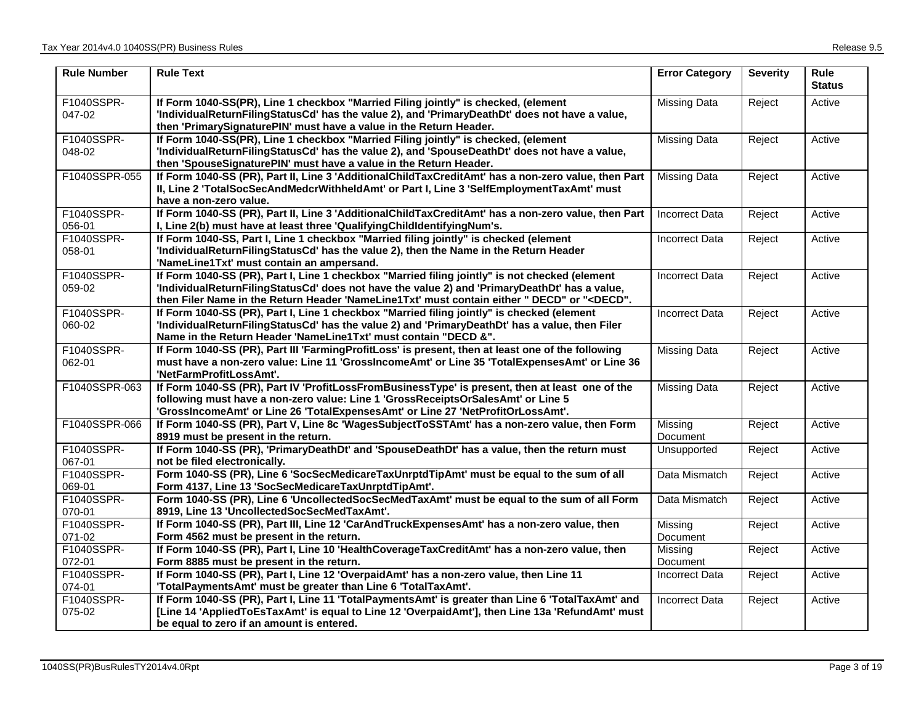| <b>Rule Number</b>   | <b>Rule Text</b>                                                                                                                                                                                                                                                                                                                                                              | <b>Error Category</b> | <b>Severity</b> | Rule<br><b>Status</b> |
|----------------------|-------------------------------------------------------------------------------------------------------------------------------------------------------------------------------------------------------------------------------------------------------------------------------------------------------------------------------------------------------------------------------|-----------------------|-----------------|-----------------------|
| F1040SSPR-<br>047-02 | If Form 1040-SS(PR), Line 1 checkbox "Married Filing jointly" is checked, (element<br>'IndividualReturnFilingStatusCd' has the value 2), and 'PrimaryDeathDt' does not have a value,<br>then 'PrimarySignaturePIN' must have a value in the Return Header.                                                                                                                    | <b>Missing Data</b>   | Reject          | Active                |
| F1040SSPR-<br>048-02 | If Form 1040-SS(PR), Line 1 checkbox "Married Filing jointly" is checked, (element<br>'IndividualReturnFilingStatusCd' has the value 2), and 'SpouseDeathDt' does not have a value,<br>then 'SpouseSignaturePIN' must have a value in the Return Header.                                                                                                                      | <b>Missing Data</b>   | Reject          | Active                |
| F1040SSPR-055        | If Form 1040-SS (PR), Part II, Line 3 'AdditionalChildTaxCreditAmt' has a non-zero value, then Part<br>II, Line 2 'TotalSocSecAndMedcrWithheldAmt' or Part I, Line 3 'SelfEmploymentTaxAmt' must<br>have a non-zero value.                                                                                                                                                    | <b>Missing Data</b>   | Reject          | Active                |
| F1040SSPR-<br>056-01 | If Form 1040-SS (PR), Part II, Line 3 'AdditionalChildTaxCreditAmt' has a non-zero value, then Part<br>I, Line 2(b) must have at least three 'QualifyingChildIdentifyingNum's.                                                                                                                                                                                                | <b>Incorrect Data</b> | Reject          | Active                |
| F1040SSPR-<br>058-01 | If Form 1040-SS, Part I, Line 1 checkbox "Married filing jointly" is checked (element<br>'IndividualReturnFilingStatusCd' has the value 2), then the Name in the Return Header<br>'NameLine1Txt' must contain an ampersand.                                                                                                                                                   | <b>Incorrect Data</b> | Reject          | Active                |
| F1040SSPR-<br>059-02 | If Form 1040-SS (PR), Part I, Line 1 checkbox "Married filing jointly" is not checked (element<br>'IndividualReturnFilingStatusCd' does not have the value 2) and 'PrimaryDeathDt' has a value,<br>then Filer Name in the Return Header 'NameLine1Txt' must contain either " DECD" or " <decd".< td=""><td><b>Incorrect Data</b></td><td>Reject</td><td>Active</td></decd".<> | <b>Incorrect Data</b> | Reject          | Active                |
| F1040SSPR-<br>060-02 | If Form 1040-SS (PR), Part I, Line 1 checkbox "Married filing jointly" is checked (element<br>'IndividualReturnFilingStatusCd' has the value 2) and 'PrimaryDeathDt' has a value, then Filer<br>Name in the Return Header 'NameLine1Txt' must contain "DECD &".                                                                                                               | <b>Incorrect Data</b> | Reject          | Active                |
| F1040SSPR-<br>062-01 | If Form 1040-SS (PR), Part III 'FarmingProfitLoss' is present, then at least one of the following<br>must have a non-zero value: Line 11 'GrossIncomeAmt' or Line 35 'TotalExpensesAmt' or Line 36<br>'NetFarmProfitLossAmt'.                                                                                                                                                 | <b>Missing Data</b>   | Reject          | Active                |
| F1040SSPR-063        | If Form 1040-SS (PR), Part IV 'ProfitLossFromBusinessType' is present, then at least one of the<br>following must have a non-zero value: Line 1 'GrossReceiptsOrSalesAmt' or Line 5<br>'GrossIncomeAmt' or Line 26 'TotalExpensesAmt' or Line 27 'NetProfitOrLossAmt'.                                                                                                        | <b>Missing Data</b>   | Reject          | Active                |
| F1040SSPR-066        | If Form 1040-SS (PR), Part V, Line 8c 'WagesSubjectToSSTAmt' has a non-zero value, then Form<br>8919 must be present in the return.                                                                                                                                                                                                                                           | Missing<br>Document   | Reject          | Active                |
| F1040SSPR-<br>067-01 | If Form 1040-SS (PR), 'PrimaryDeathDt' and 'SpouseDeathDt' has a value, then the return must<br>not be filed electronically.                                                                                                                                                                                                                                                  | Unsupported           | Reject          | Active                |
| F1040SSPR-<br>069-01 | Form 1040-SS (PR), Line 6 'SocSecMedicareTaxUnrptdTipAmt' must be equal to the sum of all<br>Form 4137, Line 13 'SocSecMedicareTaxUnrptdTipAmt'.                                                                                                                                                                                                                              | Data Mismatch         | Reject          | Active                |
| F1040SSPR-<br>070-01 | Form 1040-SS (PR), Line 6 'UncollectedSocSecMedTaxAmt' must be equal to the sum of all Form<br>8919, Line 13 'UncollectedSocSecMedTaxAmt'.                                                                                                                                                                                                                                    | Data Mismatch         | Reject          | Active                |
| F1040SSPR-<br>071-02 | If Form 1040-SS (PR), Part III, Line 12 'CarAndTruckExpensesAmt' has a non-zero value, then<br>Form 4562 must be present in the return.                                                                                                                                                                                                                                       | Missing<br>Document   | Reject          | Active                |
| F1040SSPR-<br>072-01 | If Form 1040-SS (PR), Part I, Line 10 'HealthCoverageTaxCreditAmt' has a non-zero value, then<br>Form 8885 must be present in the return.                                                                                                                                                                                                                                     | Missing<br>Document   | Reject          | Active                |
| F1040SSPR-<br>074-01 | If Form 1040-SS (PR), Part I, Line 12 'OverpaidAmt' has a non-zero value, then Line 11<br>'TotalPaymentsAmt' must be greater than Line 6 'TotalTaxAmt'.                                                                                                                                                                                                                       | <b>Incorrect Data</b> | Reject          | Active                |
| F1040SSPR-<br>075-02 | If Form 1040-SS (PR), Part I, Line 11 'TotalPaymentsAmt' is greater than Line 6 'TotalTaxAmt' and<br>[Line 14 'AppliedToEsTaxAmt' is equal to Line 12 'OverpaidAmt'], then Line 13a 'RefundAmt' must<br>be equal to zero if an amount is entered.                                                                                                                             | <b>Incorrect Data</b> | Reject          | Active                |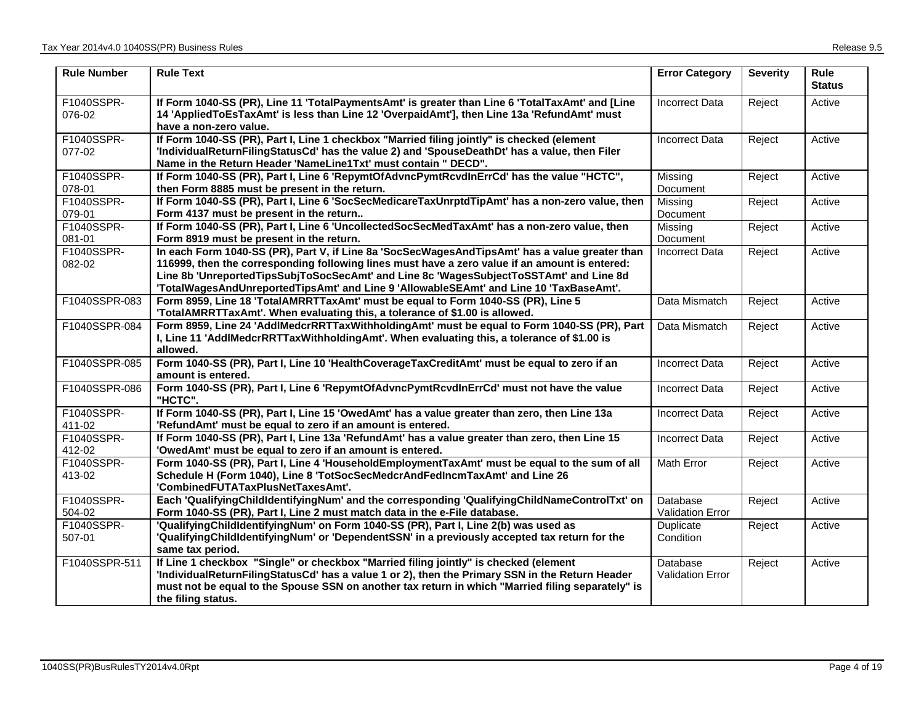| <b>Rule Number</b>   | <b>Rule Text</b>                                                                                                                                                                                                                                                                                                                                                                     | <b>Error Category</b>               | <b>Severity</b> | <b>Rule</b><br><b>Status</b> |
|----------------------|--------------------------------------------------------------------------------------------------------------------------------------------------------------------------------------------------------------------------------------------------------------------------------------------------------------------------------------------------------------------------------------|-------------------------------------|-----------------|------------------------------|
| F1040SSPR-<br>076-02 | If Form 1040-SS (PR), Line 11 'TotalPaymentsAmt' is greater than Line 6 'TotalTaxAmt' and [Line<br>14 'AppliedToEsTaxAmt' is less than Line 12 'OverpaidAmt'], then Line 13a 'RefundAmt' must<br>have a non-zero value.                                                                                                                                                              | <b>Incorrect Data</b>               | Reject          | Active                       |
| F1040SSPR-<br>077-02 | If Form 1040-SS (PR), Part I, Line 1 checkbox "Married filing jointly" is checked (element<br>'IndividualReturnFilingStatusCd' has the value 2) and 'SpouseDeathDt' has a value, then Filer<br>Name in the Return Header 'NameLine1Txt' must contain " DECD".                                                                                                                        | Incorrect Data                      | Reject          | Active                       |
| F1040SSPR-<br>078-01 | If Form 1040-SS (PR), Part I, Line 6 'RepymtOfAdvncPymtRcvdInErrCd' has the value "HCTC",<br>then Form 8885 must be present in the return.                                                                                                                                                                                                                                           | Missing<br>Document                 | Reject          | Active                       |
| F1040SSPR-<br>079-01 | If Form 1040-SS (PR), Part I, Line 6 'SocSecMedicareTaxUnrptdTipAmt' has a non-zero value, then<br>Form 4137 must be present in the return                                                                                                                                                                                                                                           | Missing<br>Document                 | Reject          | Active                       |
| F1040SSPR-<br>081-01 | If Form 1040-SS (PR), Part I, Line 6 'UncollectedSocSecMedTaxAmt' has a non-zero value, then<br>Form 8919 must be present in the return.                                                                                                                                                                                                                                             | Missing<br><b>Document</b>          | Reject          | Active                       |
| F1040SSPR-<br>082-02 | In each Form 1040-SS (PR), Part V, if Line 8a 'SocSecWagesAndTipsAmt' has a value greater than<br>116999, then the corresponding following lines must have a zero value if an amount is entered:<br>Line 8b 'UnreportedTipsSubjToSocSecAmt' and Line 8c 'WagesSubjectToSSTAmt' and Line 8d<br>'TotalWagesAndUnreportedTipsAmt' and Line 9 'AllowableSEAmt' and Line 10 'TaxBaseAmt'. | <b>Incorrect Data</b>               | Reject          | Active                       |
| F1040SSPR-083        | Form 8959, Line 18 'TotalAMRRTTaxAmt' must be equal to Form 1040-SS (PR), Line 5<br>'TotalAMRRTTaxAmt'. When evaluating this, a tolerance of \$1.00 is allowed.                                                                                                                                                                                                                      | Data Mismatch                       | Reject          | Active                       |
| F1040SSPR-084        | Form 8959, Line 24 'AddlMedcrRRTTaxWithholdingAmt' must be equal to Form 1040-SS (PR), Part<br>I, Line 11 'AddIMedcrRRTTaxWithholdingAmt'. When evaluating this, a tolerance of \$1.00 is<br>allowed.                                                                                                                                                                                | Data Mismatch                       | Reject          | Active                       |
| F1040SSPR-085        | Form 1040-SS (PR), Part I, Line 10 'HealthCoverageTaxCreditAmt' must be equal to zero if an<br>amount is entered.                                                                                                                                                                                                                                                                    | <b>Incorrect Data</b>               | Reject          | Active                       |
| F1040SSPR-086        | Form 1040-SS (PR), Part I, Line 6 'RepymtOfAdvncPymtRcvdInErrCd' must not have the value<br>"HCTC".                                                                                                                                                                                                                                                                                  | <b>Incorrect Data</b>               | Reject          | Active                       |
| F1040SSPR-<br>411-02 | If Form 1040-SS (PR), Part I, Line 15 'OwedAmt' has a value greater than zero, then Line 13a<br>'RefundAmt' must be equal to zero if an amount is entered.                                                                                                                                                                                                                           | <b>Incorrect Data</b>               | Reject          | Active                       |
| F1040SSPR-<br>412-02 | If Form 1040-SS (PR), Part I, Line 13a 'RefundAmt' has a value greater than zero, then Line 15<br>'OwedAmt' must be equal to zero if an amount is entered.                                                                                                                                                                                                                           | <b>Incorrect Data</b>               | Reject          | Active                       |
| F1040SSPR-<br>413-02 | Form 1040-SS (PR), Part I, Line 4 'HouseholdEmploymentTaxAmt' must be equal to the sum of all<br>Schedule H (Form 1040), Line 8 'TotSocSecMedcrAndFedIncmTaxAmt' and Line 26<br>'CombinedFUTATaxPlusNetTaxesAmt'.                                                                                                                                                                    | Math Error                          | Reject          | Active                       |
| F1040SSPR-<br>504-02 | Each 'QualifyingChildIdentifyingNum' and the corresponding 'QualifyingChildNameControlTxt' on<br>Form 1040-SS (PR), Part I, Line 2 must match data in the e-File database.                                                                                                                                                                                                           | Database<br><b>Validation Error</b> | Reject          | Active                       |
| F1040SSPR-<br>507-01 | 'QualifyingChildldentifyingNum' on Form 1040-SS (PR), Part I, Line 2(b) was used as<br>'QualifyingChildIdentifyingNum' or 'DependentSSN' in a previously accepted tax return for the<br>same tax period.                                                                                                                                                                             | Duplicate<br>Condition              | Reject          | Active                       |
| F1040SSPR-511        | If Line 1 checkbox "Single" or checkbox "Married filing jointly" is checked (element<br>'IndividualReturnFilingStatusCd' has a value 1 or 2), then the Primary SSN in the Return Header<br>must not be equal to the Spouse SSN on another tax return in which "Married filing separately" is<br>the filing status.                                                                   | Database<br><b>Validation Error</b> | Reject          | Active                       |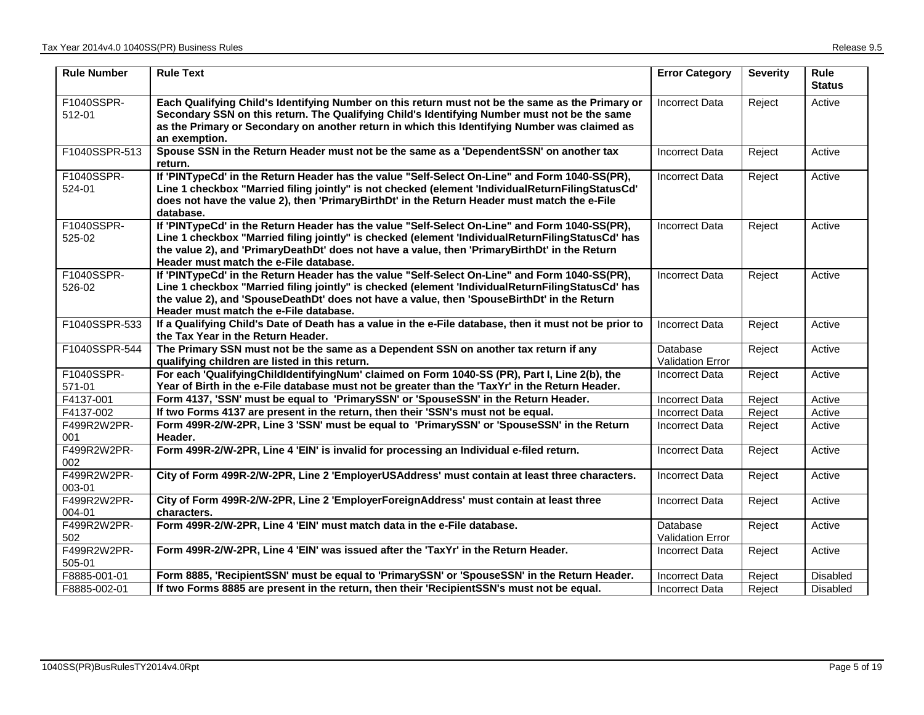| <b>Rule Number</b>    | <b>Rule Text</b>                                                                                                                                                                                                                                                                                                                              | <b>Error Category</b>               | <b>Severity</b> | Rule<br><b>Status</b> |
|-----------------------|-----------------------------------------------------------------------------------------------------------------------------------------------------------------------------------------------------------------------------------------------------------------------------------------------------------------------------------------------|-------------------------------------|-----------------|-----------------------|
| F1040SSPR-<br>512-01  | Each Qualifying Child's Identifying Number on this return must not be the same as the Primary or<br>Secondary SSN on this return. The Qualifying Child's Identifying Number must not be the same<br>as the Primary or Secondary on another return in which this Identifying Number was claimed as<br>an exemption.                            | <b>Incorrect Data</b>               | Reject          | Active                |
| F1040SSPR-513         | Spouse SSN in the Return Header must not be the same as a 'DependentSSN' on another tax<br>return.                                                                                                                                                                                                                                            | <b>Incorrect Data</b>               | Reject          | Active                |
| F1040SSPR-<br>524-01  | If 'PINTypeCd' in the Return Header has the value "Self-Select On-Line" and Form 1040-SS(PR),<br>Line 1 checkbox "Married filing jointly" is not checked (element 'IndividualReturnFilingStatusCd'<br>does not have the value 2), then 'PrimaryBirthDt' in the Return Header must match the e-File<br>database.                               | <b>Incorrect Data</b>               | Reject          | Active                |
| F1040SSPR-<br>525-02  | If 'PINTypeCd' in the Return Header has the value "Self-Select On-Line" and Form 1040-SS(PR),<br>Line 1 checkbox "Married filing jointly" is checked (element 'IndividualReturnFilingStatusCd' has<br>the value 2), and 'PrimaryDeathDt' does not have a value, then 'PrimaryBirthDt' in the Return<br>Header must match the e-File database. | <b>Incorrect Data</b>               | Reject          | Active                |
| F1040SSPR-<br>526-02  | If 'PINTypeCd' in the Return Header has the value "Self-Select On-Line" and Form 1040-SS(PR),<br>Line 1 checkbox "Married filing jointly" is checked (element 'IndividualReturnFilingStatusCd' has<br>the value 2), and 'SpouseDeathDt' does not have a value, then 'SpouseBirthDt' in the Return<br>Header must match the e-File database.   | <b>Incorrect Data</b>               | Reject          | Active                |
| F1040SSPR-533         | If a Qualifying Child's Date of Death has a value in the e-File database, then it must not be prior to<br>the Tax Year in the Return Header.                                                                                                                                                                                                  | <b>Incorrect Data</b>               | Reject          | Active                |
| F1040SSPR-544         | The Primary SSN must not be the same as a Dependent SSN on another tax return if any<br>qualifying children are listed in this return.                                                                                                                                                                                                        | Database<br>Validation Error        | Reject          | Active                |
| F1040SSPR-<br>571-01  | For each 'QualifyingChildIdentifyingNum' claimed on Form 1040-SS (PR), Part I, Line 2(b), the<br>Year of Birth in the e-File database must not be greater than the 'TaxYr' in the Return Header.                                                                                                                                              | Incorrect Data                      | Reject          | Active                |
| F4137-001             | Form 4137, 'SSN' must be equal to 'PrimarySSN' or 'SpouseSSN' in the Return Header.                                                                                                                                                                                                                                                           | <b>Incorrect Data</b>               | Reject          | Active                |
| F4137-002             | If two Forms 4137 are present in the return, then their 'SSN's must not be equal.                                                                                                                                                                                                                                                             | <b>Incorrect Data</b>               | Reject          | Active                |
| F499R2W2PR-<br>001    | Form 499R-2/W-2PR, Line 3 'SSN' must be equal to 'PrimarySSN' or 'SpouseSSN' in the Return<br>Header.                                                                                                                                                                                                                                         | <b>Incorrect Data</b>               | Reject          | Active                |
| F499R2W2PR-<br>002    | Form 499R-2/W-2PR, Line 4 'EIN' is invalid for processing an Individual e-filed return.                                                                                                                                                                                                                                                       | <b>Incorrect Data</b>               | Reject          | Active                |
| F499R2W2PR-<br>003-01 | City of Form 499R-2/W-2PR, Line 2 'EmployerUSAddress' must contain at least three characters.                                                                                                                                                                                                                                                 | <b>Incorrect Data</b>               | Reject          | Active                |
| F499R2W2PR-<br>004-01 | City of Form 499R-2/W-2PR, Line 2 'EmployerForeignAddress' must contain at least three<br>characters.                                                                                                                                                                                                                                         | <b>Incorrect Data</b>               | Reject          | Active                |
| F499R2W2PR-<br>502    | Form 499R-2/W-2PR, Line 4 'EIN' must match data in the e-File database.                                                                                                                                                                                                                                                                       | Database<br><b>Validation Error</b> | Reject          | Active                |
| F499R2W2PR-<br>505-01 | Form 499R-2/W-2PR, Line 4 'EIN' was issued after the 'TaxYr' in the Return Header.                                                                                                                                                                                                                                                            | <b>Incorrect Data</b>               | Reject          | Active                |
| F8885-001-01          | Form 8885, 'RecipientSSN' must be equal to 'PrimarySSN' or 'SpouseSSN' in the Return Header.                                                                                                                                                                                                                                                  | Incorrect Data                      | Reject          | <b>Disabled</b>       |
| F8885-002-01          | If two Forms 8885 are present in the return, then their 'RecipientSSN's must not be equal.                                                                                                                                                                                                                                                    | <b>Incorrect Data</b>               | Reject          | <b>Disabled</b>       |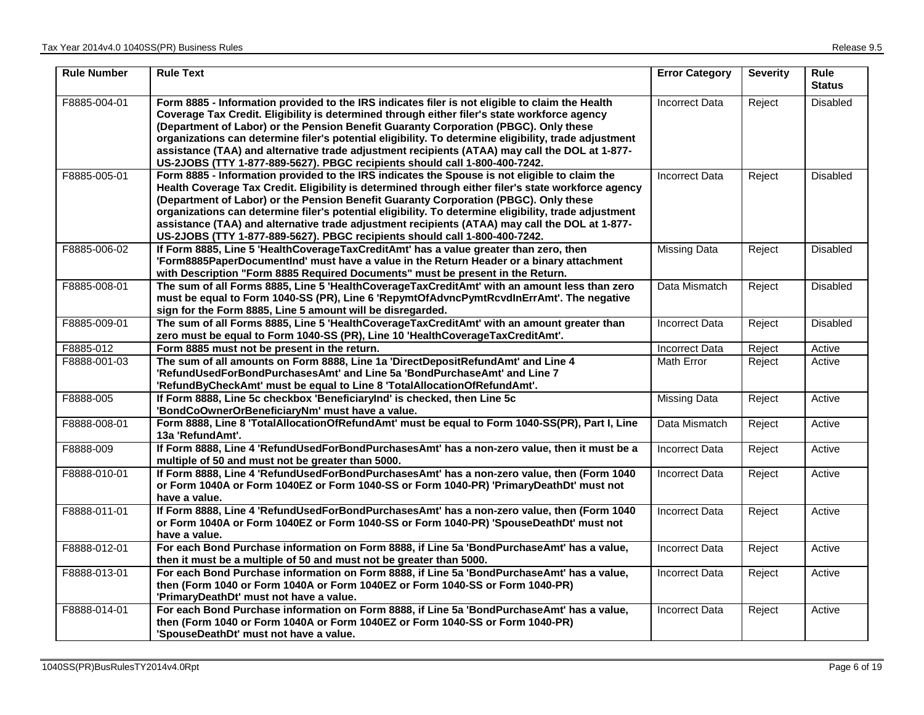| <b>Rule Number</b> | <b>Rule Text</b>                                                                                                                                                                                                                                                                                                                                                                                                                                                                                                                                                                      | <b>Error Category</b> | <b>Severity</b> | <b>Rule</b><br><b>Status</b> |
|--------------------|---------------------------------------------------------------------------------------------------------------------------------------------------------------------------------------------------------------------------------------------------------------------------------------------------------------------------------------------------------------------------------------------------------------------------------------------------------------------------------------------------------------------------------------------------------------------------------------|-----------------------|-----------------|------------------------------|
| F8885-004-01       | Form 8885 - Information provided to the IRS indicates filer is not eligible to claim the Health<br>Coverage Tax Credit. Eligibility is determined through either filer's state workforce agency<br>(Department of Labor) or the Pension Benefit Guaranty Corporation (PBGC). Only these<br>organizations can determine filer's potential eligibility. To determine eligibility, trade adjustment<br>assistance (TAA) and alternative trade adjustment recipients (ATAA) may call the DOL at 1-877-<br>US-2JOBS (TTY 1-877-889-5627). PBGC recipients should call 1-800-400-7242.      | <b>Incorrect Data</b> | Reject          | Disabled                     |
| F8885-005-01       | Form 8885 - Information provided to the IRS indicates the Spouse is not eligible to claim the<br>Health Coverage Tax Credit. Eligibility is determined through either filer's state workforce agency<br>(Department of Labor) or the Pension Benefit Guaranty Corporation (PBGC). Only these<br>organizations can determine filer's potential eligibility. To determine eligibility, trade adjustment<br>assistance (TAA) and alternative trade adjustment recipients (ATAA) may call the DOL at 1-877-<br>US-2JOBS (TTY 1-877-889-5627). PBGC recipients should call 1-800-400-7242. | <b>Incorrect Data</b> | Reject          | Disabled                     |
| F8885-006-02       | If Form 8885, Line 5 'HealthCoverageTaxCreditAmt' has a value greater than zero, then<br>'Form8885PaperDocumentInd' must have a value in the Return Header or a binary attachment<br>with Description "Form 8885 Required Documents" must be present in the Return.                                                                                                                                                                                                                                                                                                                   | <b>Missing Data</b>   | Reject          | Disabled                     |
| F8885-008-01       | The sum of all Forms 8885, Line 5 'HealthCoverageTaxCreditAmt' with an amount less than zero<br>must be equal to Form 1040-SS (PR), Line 6 'RepymtOfAdvncPymtRcvdInErrAmt'. The negative<br>sign for the Form 8885, Line 5 amount will be disregarded.                                                                                                                                                                                                                                                                                                                                | Data Mismatch         | Reject          | Disabled                     |
| F8885-009-01       | The sum of all Forms 8885, Line 5 'HealthCoverageTaxCreditAmt' with an amount greater than<br>zero must be equal to Form 1040-SS (PR), Line 10 'HealthCoverageTaxCreditAmt'.                                                                                                                                                                                                                                                                                                                                                                                                          | <b>Incorrect Data</b> | Reject          | Disabled                     |
| F8885-012          | Form 8885 must not be present in the return.                                                                                                                                                                                                                                                                                                                                                                                                                                                                                                                                          | <b>Incorrect Data</b> | Reject          | Active                       |
| F8888-001-03       | The sum of all amounts on Form 8888, Line 1a 'DirectDepositRefundAmt' and Line 4<br>'RefundUsedForBondPurchasesAmt' and Line 5a 'BondPurchaseAmt' and Line 7<br>'RefundByCheckAmt' must be equal to Line 8 'TotalAllocationOfRefundAmt'.                                                                                                                                                                                                                                                                                                                                              | Math Error            | Reject          | Active                       |
| F8888-005          | If Form 8888, Line 5c checkbox 'BeneficiaryInd' is checked, then Line 5c<br>'BondCoOwnerOrBeneficiaryNm' must have a value.                                                                                                                                                                                                                                                                                                                                                                                                                                                           | <b>Missing Data</b>   | Reject          | Active                       |
| F8888-008-01       | Form 8888, Line 8 'TotalAllocationOfRefundAmt' must be equal to Form 1040-SS(PR), Part I, Line<br>13a 'RefundAmt'.                                                                                                                                                                                                                                                                                                                                                                                                                                                                    | Data Mismatch         | Reject          | Active                       |
| F8888-009          | If Form 8888, Line 4 'RefundUsedForBondPurchasesAmt' has a non-zero value, then it must be a<br>multiple of 50 and must not be greater than 5000.                                                                                                                                                                                                                                                                                                                                                                                                                                     | Incorrect Data        | Reject          | Active                       |
| F8888-010-01       | If Form 8888, Line 4 'RefundUsedForBondPurchasesAmt' has a non-zero value, then (Form 1040<br>or Form 1040A or Form 1040EZ or Form 1040-SS or Form 1040-PR) 'PrimaryDeathDt' must not<br>have a value.                                                                                                                                                                                                                                                                                                                                                                                | <b>Incorrect Data</b> | Reject          | Active                       |
| F8888-011-01       | If Form 8888, Line 4 'RefundUsedForBondPurchasesAmt' has a non-zero value, then (Form 1040<br>or Form 1040A or Form 1040EZ or Form 1040-SS or Form 1040-PR) 'SpouseDeathDt' must not<br>have a value.                                                                                                                                                                                                                                                                                                                                                                                 | Incorrect Data        | Reject          | Active                       |
| F8888-012-01       | For each Bond Purchase information on Form 8888, if Line 5a 'BondPurchaseAmt' has a value,<br>then it must be a multiple of 50 and must not be greater than 5000.                                                                                                                                                                                                                                                                                                                                                                                                                     | <b>Incorrect Data</b> | Reject          | Active                       |
| F8888-013-01       | For each Bond Purchase information on Form 8888, if Line 5a 'BondPurchaseAmt' has a value,<br>then (Form 1040 or Form 1040A or Form 1040EZ or Form 1040-SS or Form 1040-PR)<br>'PrimaryDeathDt' must not have a value.                                                                                                                                                                                                                                                                                                                                                                | Incorrect Data        | Reject          | Active                       |
| F8888-014-01       | For each Bond Purchase information on Form 8888, if Line 5a 'BondPurchaseAmt' has a value,<br>then (Form 1040 or Form 1040A or Form 1040EZ or Form 1040-SS or Form 1040-PR)<br>'SpouseDeathDt' must not have a value.                                                                                                                                                                                                                                                                                                                                                                 | <b>Incorrect Data</b> | Reject          | Active                       |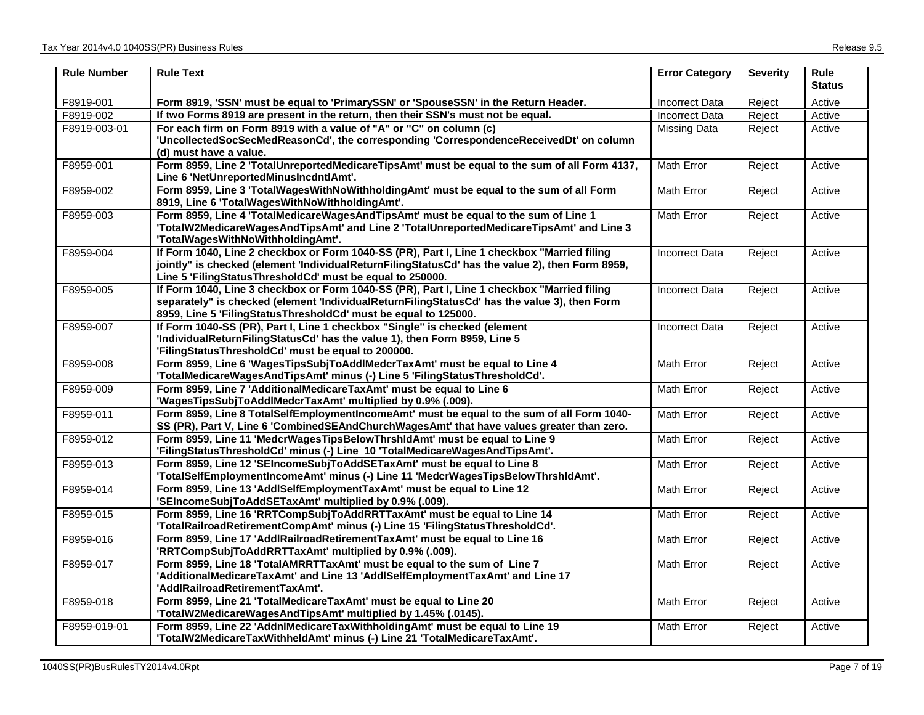| <b>Rule Number</b> | <b>Rule Text</b>                                                                                                                                                        | <b>Error Category</b> | <b>Severity</b> | <b>Rule</b><br><b>Status</b> |
|--------------------|-------------------------------------------------------------------------------------------------------------------------------------------------------------------------|-----------------------|-----------------|------------------------------|
| F8919-001          | Form 8919, 'SSN' must be equal to 'PrimarySSN' or 'SpouseSSN' in the Return Header.                                                                                     | <b>Incorrect Data</b> | Reject          | Active                       |
| F8919-002          | If two Forms 8919 are present in the return, then their SSN's must not be equal.                                                                                        | <b>Incorrect Data</b> | Reject          | Active                       |
| F8919-003-01       | For each firm on Form 8919 with a value of "A" or "C" on column (c)                                                                                                     | Missing Data          | Reject          | Active                       |
|                    | 'UncollectedSocSecMedReasonCd', the corresponding 'CorrespondenceReceivedDt' on column                                                                                  |                       |                 |                              |
|                    | (d) must have a value.                                                                                                                                                  |                       |                 |                              |
| F8959-001          | Form 8959, Line 2 'TotalUnreportedMedicareTipsAmt' must be equal to the sum of all Form 4137,<br>Line 6 'NetUnreportedMinusIncdntlAmt'.                                 | Math Error            | Reject          | Active                       |
| F8959-002          | Form 8959, Line 3 'TotalWagesWithNoWithholdingAmt' must be equal to the sum of all Form                                                                                 | Math Error            | Reject          | Active                       |
|                    | 8919, Line 6 'TotalWagesWithNoWithholdingAmt'.                                                                                                                          |                       |                 |                              |
| F8959-003          | Form 8959, Line 4 'TotalMedicareWagesAndTipsAmt' must be equal to the sum of Line 1                                                                                     | Math Error            | Reject          | Active                       |
|                    | 'TotalW2MedicareWagesAndTipsAmt' and Line 2 'TotalUnreportedMedicareTipsAmt' and Line 3                                                                                 |                       |                 |                              |
|                    | 'TotalWagesWithNoWithholdingAmt'.                                                                                                                                       |                       |                 |                              |
| F8959-004          | If Form 1040, Line 2 checkbox or Form 1040-SS (PR), Part I, Line 1 checkbox "Married filing                                                                             | <b>Incorrect Data</b> | Reject          | Active                       |
|                    | jointly" is checked (element 'IndividualReturnFilingStatusCd' has the value 2), then Form 8959,                                                                         |                       |                 |                              |
|                    | Line 5 'FilingStatusThresholdCd' must be equal to 250000.                                                                                                               |                       |                 |                              |
| F8959-005          | If Form 1040, Line 3 checkbox or Form 1040-SS (PR), Part I, Line 1 checkbox "Married filing                                                                             | <b>Incorrect Data</b> | Reject          | Active                       |
|                    | separately" is checked (element 'IndividualReturnFilingStatusCd' has the value 3), then Form                                                                            |                       |                 |                              |
|                    | 8959, Line 5 'FilingStatusThresholdCd' must be equal to 125000.                                                                                                         |                       |                 |                              |
| F8959-007          | If Form 1040-SS (PR), Part I, Line 1 checkbox "Single" is checked (element                                                                                              | <b>Incorrect Data</b> | Reject          | Active                       |
|                    | 'IndividualReturnFilingStatusCd' has the value 1), then Form 8959, Line 5                                                                                               |                       |                 |                              |
|                    | 'FilingStatusThresholdCd' must be equal to 200000.                                                                                                                      |                       |                 |                              |
| F8959-008          | Form 8959, Line 6 'WagesTipsSubjToAddlMedcrTaxAmt' must be equal to Line 4                                                                                              | Math Error            | Reject          | Active                       |
|                    | 'TotalMedicareWagesAndTipsAmt' minus (-) Line 5 'FilingStatusThresholdCd'.                                                                                              |                       |                 |                              |
| F8959-009          | Form 8959, Line 7 'AdditionalMedicareTaxAmt' must be equal to Line 6                                                                                                    | Math Error            | Reject          | Active                       |
|                    | 'WagesTipsSubjToAddlMedcrTaxAmt' multiplied by 0.9% (.009).                                                                                                             |                       |                 |                              |
| F8959-011          | Form 8959, Line 8 TotalSelfEmploymentIncomeAmt' must be equal to the sum of all Form 1040-                                                                              | Math Error            | Reject          | Active                       |
| F8959-012          | SS (PR), Part V, Line 6 'CombinedSEAndChurchWagesAmt' that have values greater than zero.<br>Form 8959, Line 11 'MedcrWagesTipsBelowThrshldAmt' must be equal to Line 9 | Math Error            |                 |                              |
|                    | 'FilingStatusThresholdCd' minus (-) Line 10 'TotalMedicareWagesAndTipsAmt'.                                                                                             |                       | Reject          | Active                       |
| F8959-013          | Form 8959, Line 12 'SEIncomeSubjToAddSETaxAmt' must be equal to Line 8                                                                                                  | Math Error            | Reject          | Active                       |
|                    | 'TotalSelfEmploymentIncomeAmt' minus (-) Line 11 'MedcrWagesTipsBelowThrshIdAmt'.                                                                                       |                       |                 |                              |
| F8959-014          | Form 8959, Line 13 'AddlSelfEmploymentTaxAmt' must be equal to Line 12                                                                                                  | Math Error            | Reject          | Active                       |
|                    | 'SEIncomeSubjToAddSETaxAmt' multiplied by 0.9% (.009).                                                                                                                  |                       |                 |                              |
| F8959-015          | Form 8959, Line 16 'RRTCompSubjToAddRRTTaxAmt' must be equal to Line 14                                                                                                 | Math Error            | Reject          | Active                       |
|                    | 'TotalRailroadRetirementCompAmt' minus (-) Line 15 'FilingStatusThresholdCd'.                                                                                           |                       |                 |                              |
| F8959-016          | Form 8959, Line 17 'AddlRailroadRetirementTaxAmt' must be equal to Line 16                                                                                              | Math Error            | Reject          | Active                       |
|                    | 'RRTCompSubjToAddRRTTaxAmt' multiplied by 0.9% (.009).                                                                                                                  |                       |                 |                              |
| F8959-017          | Form 8959, Line 18 'TotalAMRRTTaxAmt' must be equal to the sum of Line 7                                                                                                | Math Error            | Reject          | Active                       |
|                    | 'AdditionalMedicareTaxAmt' and Line 13 'AddlSelfEmploymentTaxAmt' and Line 17                                                                                           |                       |                 |                              |
|                    | 'AddlRailroadRetirementTaxAmt'.                                                                                                                                         |                       |                 |                              |
| F8959-018          | Form 8959, Line 21 'TotalMedicareTaxAmt' must be equal to Line 20                                                                                                       | Math Error            | Reject          | Active                       |
|                    | 'TotalW2MedicareWagesAndTipsAmt' multiplied by 1.45% (.0145).                                                                                                           |                       |                 |                              |
| F8959-019-01       | Form 8959, Line 22 'AddnlMedicareTaxWithholdingAmt' must be equal to Line 19                                                                                            | Math Error            | Reject          | Active                       |
|                    | 'TotalW2MedicareTaxWithheldAmt' minus (-) Line 21 'TotalMedicareTaxAmt'.                                                                                                |                       |                 |                              |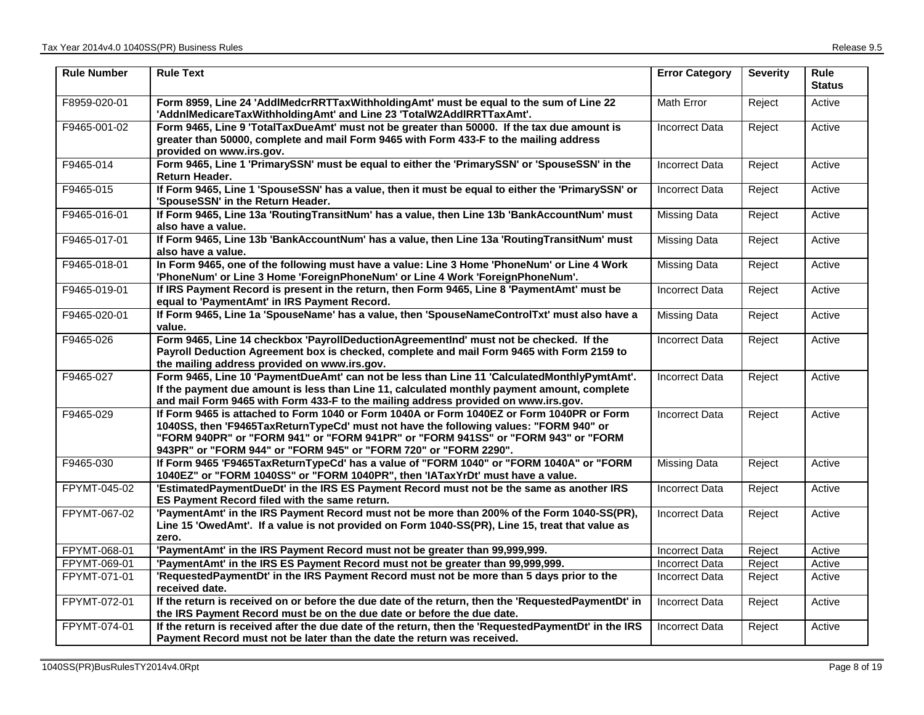| <b>Rule Number</b> | <b>Rule Text</b>                                                                                                                                                                                                                                                                                                                            | <b>Error Category</b> | <b>Severity</b> | <b>Rule</b><br><b>Status</b> |
|--------------------|---------------------------------------------------------------------------------------------------------------------------------------------------------------------------------------------------------------------------------------------------------------------------------------------------------------------------------------------|-----------------------|-----------------|------------------------------|
| F8959-020-01       | Form 8959, Line 24 'AddlMedcrRRTTaxWithholdingAmt' must be equal to the sum of Line 22<br>'AddnlMedicareTaxWithholdingAmt' and Line 23 'TotalW2AddlRRTTaxAmt'.                                                                                                                                                                              | Math Error            | Reject          | Active                       |
| F9465-001-02       | Form 9465, Line 9 'TotalTaxDueAmt' must not be greater than 50000. If the tax due amount is<br>greater than 50000, complete and mail Form 9465 with Form 433-F to the mailing address<br>provided on www.irs.gov.                                                                                                                           | <b>Incorrect Data</b> | Reject          | Active                       |
| F9465-014          | Form 9465, Line 1 'PrimarySSN' must be equal to either the 'PrimarySSN' or 'SpouseSSN' in the<br><b>Return Header.</b>                                                                                                                                                                                                                      | <b>Incorrect Data</b> | Reject          | Active                       |
| F9465-015          | If Form 9465, Line 1 'SpouseSSN' has a value, then it must be equal to either the 'PrimarySSN' or<br>'SpouseSSN' in the Return Header.                                                                                                                                                                                                      | <b>Incorrect Data</b> | Reject          | Active                       |
| F9465-016-01       | If Form 9465, Line 13a 'RoutingTransitNum' has a value, then Line 13b 'BankAccountNum' must<br>also have a value.                                                                                                                                                                                                                           | <b>Missing Data</b>   | Reject          | Active                       |
| F9465-017-01       | If Form 9465, Line 13b 'BankAccountNum' has a value, then Line 13a 'RoutingTransitNum' must<br>also have a value.                                                                                                                                                                                                                           | Missing Data          | Reject          | Active                       |
| F9465-018-01       | In Form 9465, one of the following must have a value: Line 3 Home 'PhoneNum' or Line 4 Work<br>'PhoneNum' or Line 3 Home 'ForeignPhoneNum' or Line 4 Work 'ForeignPhoneNum'.                                                                                                                                                                | Missing Data          | Reject          | Active                       |
| F9465-019-01       | If IRS Payment Record is present in the return, then Form 9465, Line 8 'PaymentAmt' must be<br>equal to 'PaymentAmt' in IRS Payment Record.                                                                                                                                                                                                 | <b>Incorrect Data</b> | Reject          | Active                       |
| F9465-020-01       | If Form 9465, Line 1a 'SpouseName' has a value, then 'SpouseNameControlTxt' must also have a<br>value.                                                                                                                                                                                                                                      | <b>Missing Data</b>   | Reject          | Active                       |
| F9465-026          | Form 9465, Line 14 checkbox 'PayrollDeductionAgreementInd' must not be checked. If the<br>Payroll Deduction Agreement box is checked, complete and mail Form 9465 with Form 2159 to<br>the mailing address provided on www.irs.gov.                                                                                                         | <b>Incorrect Data</b> | Reject          | Active                       |
| F9465-027          | Form 9465, Line 10 'PaymentDueAmt' can not be less than Line 11 'CalculatedMonthlyPymtAmt'.<br>If the payment due amount is less than Line 11, calculated monthly payment amount, complete<br>and mail Form 9465 with Form 433-F to the mailing address provided on www.irs.gov.                                                            | <b>Incorrect Data</b> | Reject          | Active                       |
| F9465-029          | If Form 9465 is attached to Form 1040 or Form 1040A or Form 1040EZ or Form 1040PR or Form<br>1040SS, then 'F9465TaxReturnTypeCd' must not have the following values: "FORM 940" or<br>"FORM 940PR" or "FORM 941" or "FORM 941PR" or "FORM 941SS" or "FORM 943" or "FORM<br>943PR" or "FORM 944" or "FORM 945" or "FORM 720" or "FORM 2290". | <b>Incorrect Data</b> | Reject          | Active                       |
| F9465-030          | If Form 9465 'F9465TaxReturnTypeCd' has a value of "FORM 1040" or "FORM 1040A" or "FORM<br>1040EZ" or "FORM 1040SS" or "FORM 1040PR", then 'IATaxYrDt' must have a value.                                                                                                                                                                   | <b>Missing Data</b>   | Reject          | Active                       |
| FPYMT-045-02       | 'EstimatedPaymentDueDt' in the IRS ES Payment Record must not be the same as another IRS<br>ES Payment Record filed with the same return.                                                                                                                                                                                                   | <b>Incorrect Data</b> | Reject          | Active                       |
| FPYMT-067-02       | 'PaymentAmt' in the IRS Payment Record must not be more than 200% of the Form 1040-SS(PR),<br>Line 15 'OwedAmt'. If a value is not provided on Form 1040-SS(PR), Line 15, treat that value as<br>zero.                                                                                                                                      | <b>Incorrect Data</b> | Reject          | Active                       |
| FPYMT-068-01       | 'PaymentAmt' in the IRS Payment Record must not be greater than 99,999,999.                                                                                                                                                                                                                                                                 | <b>Incorrect Data</b> | Reject          | Active                       |
| FPYMT-069-01       | 'PaymentAmt' in the IRS ES Payment Record must not be greater than 99,999,999.                                                                                                                                                                                                                                                              | <b>Incorrect Data</b> | Reject          | Active                       |
| FPYMT-071-01       | 'RequestedPaymentDt' in the IRS Payment Record must not be more than 5 days prior to the<br>received date.                                                                                                                                                                                                                                  | <b>Incorrect Data</b> | Reject          | Active                       |
| FPYMT-072-01       | If the return is received on or before the due date of the return, then the 'RequestedPaymentDt' in<br>the IRS Payment Record must be on the due date or before the due date.                                                                                                                                                               | <b>Incorrect Data</b> | Reject          | Active                       |
| FPYMT-074-01       | If the return is received after the due date of the return, then the 'RequestedPaymentDt' in the IRS<br>Payment Record must not be later than the date the return was received.                                                                                                                                                             | <b>Incorrect Data</b> | Reject          | Active                       |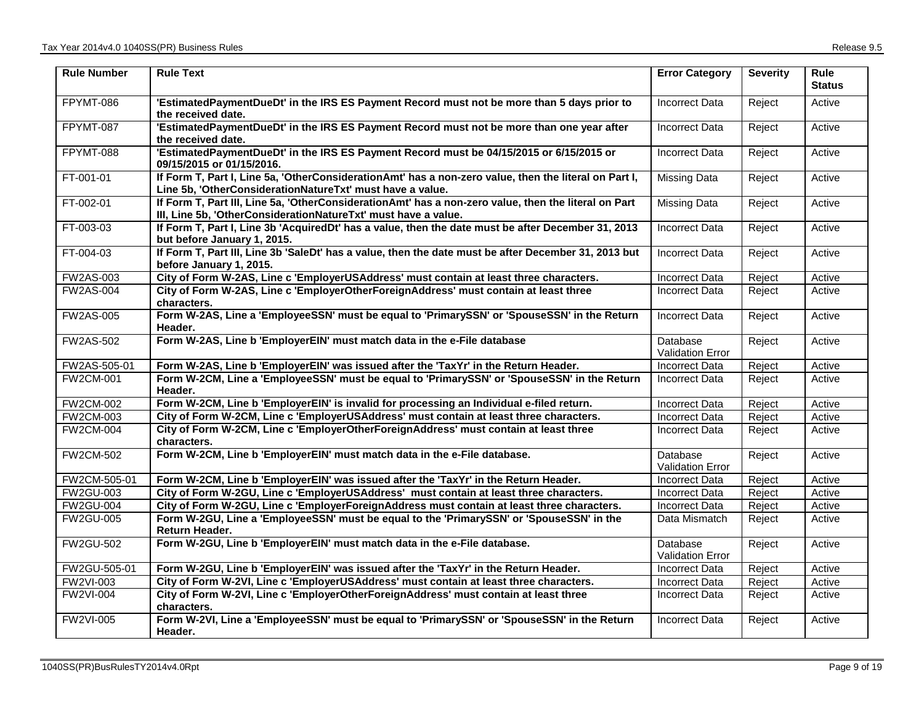| <b>Rule Number</b> | <b>Rule Text</b>                                                                                                                                                       | <b>Error Category</b>               | <b>Severity</b> | Rule<br><b>Status</b> |
|--------------------|------------------------------------------------------------------------------------------------------------------------------------------------------------------------|-------------------------------------|-----------------|-----------------------|
| FPYMT-086          | 'EstimatedPaymentDueDt' in the IRS ES Payment Record must not be more than 5 days prior to<br>the received date.                                                       | <b>Incorrect Data</b>               | Reject          | Active                |
| FPYMT-087          | 'EstimatedPaymentDueDt' in the IRS ES Payment Record must not be more than one year after<br>the received date.                                                        | <b>Incorrect Data</b>               | Reject          | Active                |
| FPYMT-088          | 'EstimatedPaymentDueDt' in the IRS ES Payment Record must be 04/15/2015 or 6/15/2015 or<br>09/15/2015 or 01/15/2016.                                                   | <b>Incorrect Data</b>               | Reject          | Active                |
| FT-001-01          | If Form T, Part I, Line 5a, 'OtherConsiderationAmt' has a non-zero value, then the literal on Part I,<br>Line 5b, 'OtherConsiderationNatureTxt' must have a value.     | <b>Missing Data</b>                 | Reject          | Active                |
| FT-002-01          | If Form T, Part III, Line 5a, 'OtherConsiderationAmt' has a non-zero value, then the literal on Part<br>III, Line 5b, 'OtherConsiderationNatureTxt' must have a value. | Missing Data                        | Reject          | Active                |
| FT-003-03          | If Form T, Part I, Line 3b 'AcquiredDt' has a value, then the date must be after December 31, 2013<br>but before January 1, 2015.                                      | <b>Incorrect Data</b>               | Reject          | Active                |
| FT-004-03          | If Form T, Part III, Line 3b 'SaleDt' has a value, then the date must be after December 31, 2013 but<br>before January 1, 2015.                                        | <b>Incorrect Data</b>               | Reject          | Active                |
| <b>FW2AS-003</b>   | City of Form W-2AS, Line c 'EmployerUSAddress' must contain at least three characters.                                                                                 | <b>Incorrect Data</b>               | Reject          | Active                |
| <b>FW2AS-004</b>   | City of Form W-2AS, Line c 'EmployerOtherForeignAddress' must contain at least three<br>characters.                                                                    | <b>Incorrect Data</b>               | Reject          | Active                |
| <b>FW2AS-005</b>   | Form W-2AS, Line a 'EmployeeSSN' must be equal to 'PrimarySSN' or 'SpouseSSN' in the Return<br>Header.                                                                 | <b>Incorrect Data</b>               | Reject          | Active                |
| <b>FW2AS-502</b>   | Form W-2AS, Line b 'EmployerEIN' must match data in the e-File database                                                                                                | Database<br><b>Validation Error</b> | Reject          | Active                |
| FW2AS-505-01       | Form W-2AS, Line b 'EmployerEIN' was issued after the 'TaxYr' in the Return Header.                                                                                    | <b>Incorrect Data</b>               | Reject          | Active                |
| <b>FW2CM-001</b>   | Form W-2CM, Line a 'EmployeeSSN' must be equal to 'PrimarySSN' or 'SpouseSSN' in the Return<br>Header.                                                                 | <b>Incorrect Data</b>               | Reject          | Active                |
| <b>FW2CM-002</b>   | Form W-2CM, Line b 'EmployerEIN' is invalid for processing an Individual e-filed return.                                                                               | <b>Incorrect Data</b>               | Reject          | Active                |
| FW2CM-003          | City of Form W-2CM, Line c 'EmployerUSAddress' must contain at least three characters.                                                                                 | Incorrect Data                      | Reject          | Active                |
| <b>FW2CM-004</b>   | City of Form W-2CM, Line c 'EmployerOtherForeignAddress' must contain at least three<br>characters.                                                                    | Incorrect Data                      | Reject          | Active                |
| <b>FW2CM-502</b>   | Form W-2CM, Line b 'EmployerEIN' must match data in the e-File database.                                                                                               | Database<br><b>Validation Error</b> | Reject          | Active                |
| FW2CM-505-01       | Form W-2CM, Line b 'EmployerEIN' was issued after the 'TaxYr' in the Return Header.                                                                                    | <b>Incorrect Data</b>               | Reject          | Active                |
| <b>FW2GU-003</b>   | City of Form W-2GU, Line c 'EmployerUSAddress' must contain at least three characters.                                                                                 | <b>Incorrect Data</b>               | Reject          | Active                |
| <b>FW2GU-004</b>   | City of Form W-2GU, Line c 'EmployerForeignAddress must contain at least three characters.                                                                             | <b>Incorrect Data</b>               | Reject          | Active                |
| <b>FW2GU-005</b>   | Form W-2GU, Line a 'EmployeeSSN' must be equal to the 'PrimarySSN' or 'SpouseSSN' in the<br>Return Header.                                                             | Data Mismatch                       | Reject          | Active                |
| <b>FW2GU-502</b>   | Form W-2GU, Line b 'EmployerEIN' must match data in the e-File database.                                                                                               | Database<br>Validation Error        | Reject          | Active                |
| FW2GU-505-01       | Form W-2GU, Line b 'EmployerEIN' was issued after the 'TaxYr' in the Return Header.                                                                                    | <b>Incorrect Data</b>               | Reject          | Active                |
| <b>FW2VI-003</b>   | City of Form W-2VI, Line c 'EmployerUSAddress' must contain at least three characters.                                                                                 | <b>Incorrect Data</b>               | Reject          | Active                |
| <b>FW2VI-004</b>   | City of Form W-2VI, Line c 'EmployerOtherForeignAddress' must contain at least three<br>characters.                                                                    | Incorrect Data                      | Reject          | Active                |
| <b>FW2VI-005</b>   | Form W-2VI, Line a 'EmployeeSSN' must be equal to 'PrimarySSN' or 'SpouseSSN' in the Return<br>Header.                                                                 | <b>Incorrect Data</b>               | Reject          | Active                |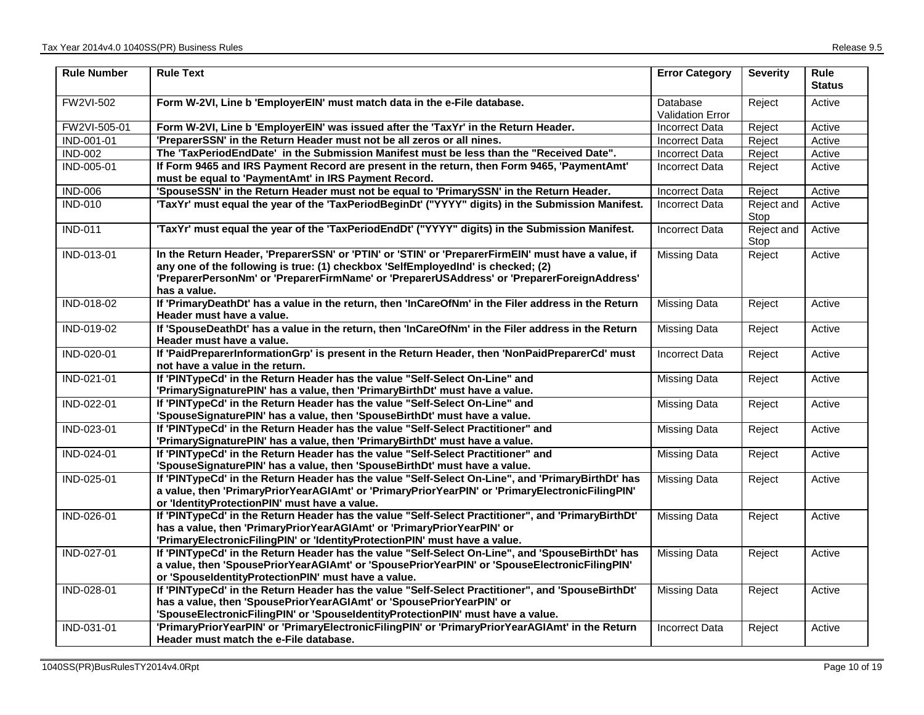| <b>Rule Number</b> | <b>Rule Text</b>                                                                                                                                                                                                                                                                                      | <b>Error Category</b>               | <b>Severity</b>    | <b>Rule</b><br><b>Status</b> |
|--------------------|-------------------------------------------------------------------------------------------------------------------------------------------------------------------------------------------------------------------------------------------------------------------------------------------------------|-------------------------------------|--------------------|------------------------------|
| <b>FW2VI-502</b>   | Form W-2VI, Line b 'EmployerEIN' must match data in the e-File database.                                                                                                                                                                                                                              | Database<br><b>Validation Error</b> | Reject             | Active                       |
| FW2VI-505-01       | Form W-2VI, Line b 'EmployerEIN' was issued after the 'TaxYr' in the Return Header.                                                                                                                                                                                                                   | <b>Incorrect Data</b>               | Reject             | Active                       |
| IND-001-01         | 'PreparerSSN' in the Return Header must not be all zeros or all nines.                                                                                                                                                                                                                                | Incorrect Data                      | Reject             | Active                       |
| <b>IND-002</b>     | The 'TaxPeriodEndDate' in the Submission Manifest must be less than the "Received Date".                                                                                                                                                                                                              | <b>Incorrect Data</b>               | Reject             | Active                       |
| IND-005-01         | If Form 9465 and IRS Payment Record are present in the return, then Form 9465, 'PaymentAmt'<br>must be equal to 'PaymentAmt' in IRS Payment Record.                                                                                                                                                   | <b>Incorrect Data</b>               | Reject             | Active                       |
| <b>IND-006</b>     | 'SpouseSSN' in the Return Header must not be equal to 'PrimarySSN' in the Return Header.                                                                                                                                                                                                              | <b>Incorrect Data</b>               | Reject             | Active                       |
| <b>IND-010</b>     | 'TaxYr' must equal the year of the 'TaxPeriodBeginDt' ("YYYY" digits) in the Submission Manifest.                                                                                                                                                                                                     | <b>Incorrect Data</b>               | Reject and<br>Stop | Active                       |
| <b>IND-011</b>     | 'TaxYr' must equal the year of the 'TaxPeriodEndDt' ("YYYY" digits) in the Submission Manifest.                                                                                                                                                                                                       | <b>Incorrect Data</b>               | Reject and<br>Stop | Active                       |
| IND-013-01         | In the Return Header, 'PreparerSSN' or 'PTIN' or 'STIN' or 'PreparerFirmElN' must have a value, if<br>any one of the following is true: (1) checkbox 'SelfEmployedInd' is checked; (2)<br>'PreparerPersonNm' or 'PreparerFirmName' or 'PreparerUSAddress' or 'PreparerForeignAddress'<br>has a value. | Missing Data                        | Reject             | Active                       |
| IND-018-02         | If 'PrimaryDeathDt' has a value in the return, then 'InCareOfNm' in the Filer address in the Return<br>Header must have a value.                                                                                                                                                                      | Missing Data                        | Reject             | Active                       |
| IND-019-02         | If 'SpouseDeathDt' has a value in the return, then 'InCareOfNm' in the Filer address in the Return<br>Header must have a value.                                                                                                                                                                       | Missing Data                        | Reject             | Active                       |
| IND-020-01         | If 'PaidPreparerInformationGrp' is present in the Return Header, then 'NonPaidPreparerCd' must<br>not have a value in the return.                                                                                                                                                                     | <b>Incorrect Data</b>               | Reject             | Active                       |
| IND-021-01         | If 'PINTypeCd' in the Return Header has the value "Self-Select On-Line" and<br>'PrimarySignaturePIN' has a value, then 'PrimaryBirthDt' must have a value.                                                                                                                                            | Missing Data                        | Reject             | Active                       |
| IND-022-01         | If 'PINTypeCd' in the Return Header has the value "Self-Select On-Line" and<br>'SpouseSignaturePIN' has a value, then 'SpouseBirthDt' must have a value.                                                                                                                                              | Missing Data                        | Reject             | Active                       |
| IND-023-01         | If 'PINTypeCd' in the Return Header has the value "Self-Select Practitioner" and<br>'PrimarySignaturePIN' has a value, then 'PrimaryBirthDt' must have a value.                                                                                                                                       | <b>Missing Data</b>                 | Reject             | Active                       |
| IND-024-01         | If 'PINTypeCd' in the Return Header has the value "Self-Select Practitioner" and<br>'SpouseSignaturePIN' has a value, then 'SpouseBirthDt' must have a value.                                                                                                                                         | <b>Missing Data</b>                 | Reject             | Active                       |
| IND-025-01         | If 'PINTypeCd' in the Return Header has the value "Self-Select On-Line", and 'PrimaryBirthDt' has<br>a value, then 'PrimaryPriorYearAGIAmt' or 'PrimaryPriorYearPIN' or 'PrimaryElectronicFilingPIN'<br>or 'IdentityProtectionPIN' must have a value.                                                 | Missing Data                        | Reject             | Active                       |
| IND-026-01         | If 'PINTypeCd' in the Return Header has the value "Self-Select Practitioner", and 'PrimaryBirthDt'<br>has a value, then 'PrimaryPriorYearAGIAmt' or 'PrimaryPriorYearPIN' or<br>'PrimaryElectronicFilingPIN' or 'IdentityProtectionPIN' must have a value.                                            | <b>Missing Data</b>                 | Reject             | Active                       |
| IND-027-01         | If 'PINTypeCd' in the Return Header has the value "Self-Select On-Line", and 'SpouseBirthDt' has<br>a value, then 'SpousePriorYearAGIAmt' or 'SpousePriorYearPIN' or 'SpouseElectronicFilingPIN'<br>or 'SpouseIdentityProtectionPIN' must have a value.                                               | <b>Missing Data</b>                 | Reject             | Active                       |
| IND-028-01         | If 'PINTypeCd' in the Return Header has the value "Self-Select Practitioner", and 'SpouseBirthDt'<br>has a value, then 'SpousePriorYearAGIAmt' or 'SpousePriorYearPIN' or<br>'SpouseElectronicFilingPIN' or 'SpouseIdentityProtectionPIN' must have a value.                                          | <b>Missing Data</b>                 | Reject             | Active                       |
| IND-031-01         | 'PrimaryPriorYearPIN' or 'PrimaryElectronicFilingPIN' or 'PrimaryPriorYearAGIAmt' in the Return<br>Header must match the e-File database.                                                                                                                                                             | <b>Incorrect Data</b>               | Reject             | Active                       |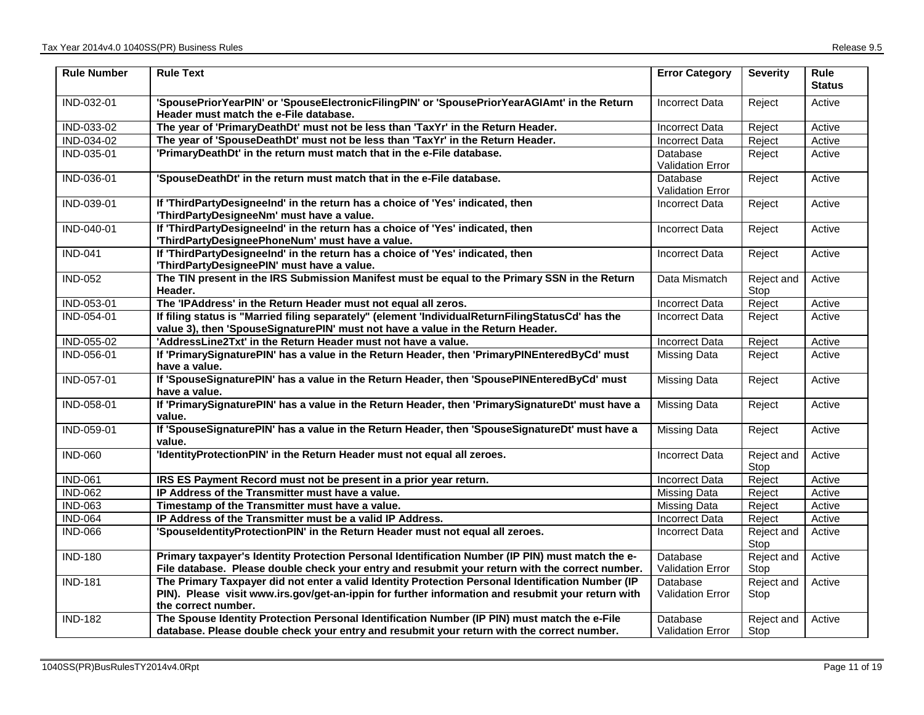| <b>Rule Number</b> | <b>Rule Text</b>                                                                                                                                                                                                              | <b>Error Category</b>               | <b>Severity</b>    | Rule<br><b>Status</b> |
|--------------------|-------------------------------------------------------------------------------------------------------------------------------------------------------------------------------------------------------------------------------|-------------------------------------|--------------------|-----------------------|
| IND-032-01         | 'SpousePriorYearPIN' or 'SpouseElectronicFilingPIN' or 'SpousePriorYearAGIAmt' in the Return<br>Header must match the e-File database.                                                                                        | <b>Incorrect Data</b>               | Reject             | Active                |
| IND-033-02         | The year of 'PrimaryDeathDt' must not be less than 'TaxYr' in the Return Header.                                                                                                                                              | <b>Incorrect Data</b>               | Reject             | Active                |
| IND-034-02         | The year of 'SpouseDeathDt' must not be less than 'TaxYr' in the Return Header.                                                                                                                                               | <b>Incorrect Data</b>               | Reject             | Active                |
| IND-035-01         | 'PrimaryDeathDt' in the return must match that in the e-File database.                                                                                                                                                        | Database<br>Validation Error        | Reject             | Active                |
| IND-036-01         | 'SpouseDeathDt' in the return must match that in the e-File database.                                                                                                                                                         | Database<br>Validation Error        | Reject             | Active                |
| IND-039-01         | If 'ThirdPartyDesigneeInd' in the return has a choice of 'Yes' indicated, then<br>'ThirdPartyDesigneeNm' must have a value.                                                                                                   | <b>Incorrect Data</b>               | Reject             | Active                |
| IND-040-01         | If 'ThirdPartyDesigneeInd' in the return has a choice of 'Yes' indicated, then<br>'ThirdPartyDesigneePhoneNum' must have a value.                                                                                             | <b>Incorrect Data</b>               | Reject             | Active                |
| <b>IND-041</b>     | If 'ThirdPartyDesigneeInd' in the return has a choice of 'Yes' indicated, then<br>'ThirdPartyDesigneePIN' must have a value.                                                                                                  | <b>Incorrect Data</b>               | Reject             | Active                |
| <b>IND-052</b>     | The TIN present in the IRS Submission Manifest must be equal to the Primary SSN in the Return<br>Header.                                                                                                                      | Data Mismatch                       | Reject and<br>Stop | Active                |
| IND-053-01         | The 'IPAddress' in the Return Header must not equal all zeros.                                                                                                                                                                | <b>Incorrect Data</b>               | Reject             | Active                |
| IND-054-01         | If filing status is "Married filing separately" (element 'IndividualReturnFilingStatusCd' has the<br>value 3), then 'SpouseSignaturePIN' must not have a value in the Return Header.                                          | Incorrect Data                      | Reject             | Active                |
| IND-055-02         | 'AddressLine2Txt' in the Return Header must not have a value.                                                                                                                                                                 | <b>Incorrect Data</b>               | Reject             | Active                |
| IND-056-01         | If 'PrimarySignaturePIN' has a value in the Return Header, then 'PrimaryPINEnteredByCd' must<br>have a value.                                                                                                                 | Missing Data                        | Reject             | Active                |
| IND-057-01         | If 'SpouseSignaturePIN' has a value in the Return Header, then 'SpousePINEnteredByCd' must<br>have a value.                                                                                                                   | <b>Missing Data</b>                 | Reject             | Active                |
| IND-058-01         | If 'PrimarySignaturePIN' has a value in the Return Header, then 'PrimarySignatureDt' must have a<br>value.                                                                                                                    | <b>Missing Data</b>                 | Reject             | Active                |
| IND-059-01         | If 'SpouseSignaturePIN' has a value in the Return Header, then 'SpouseSignatureDt' must have a<br>value.                                                                                                                      | <b>Missing Data</b>                 | Reject             | Active                |
| <b>IND-060</b>     | 'IdentityProtectionPIN' in the Return Header must not equal all zeroes.                                                                                                                                                       | <b>Incorrect Data</b>               | Reject and<br>Stop | Active                |
| <b>IND-061</b>     | IRS ES Payment Record must not be present in a prior year return.                                                                                                                                                             | <b>Incorrect Data</b>               | Reject             | Active                |
| <b>IND-062</b>     | IP Address of the Transmitter must have a value.                                                                                                                                                                              | <b>Missing Data</b>                 | Reject             | Active                |
| <b>IND-063</b>     | Timestamp of the Transmitter must have a value.                                                                                                                                                                               | Missing Data                        | Reject             | Active                |
| <b>IND-064</b>     | IP Address of the Transmitter must be a valid IP Address.                                                                                                                                                                     | <b>Incorrect Data</b>               | Reject             | Active                |
| <b>IND-066</b>     | 'SpouseldentityProtectionPIN' in the Return Header must not equal all zeroes.                                                                                                                                                 | <b>Incorrect Data</b>               | Reject and<br>Stop | Active                |
| <b>IND-180</b>     | Primary taxpayer's Identity Protection Personal Identification Number (IP PIN) must match the e-<br>File database. Please double check your entry and resubmit your return with the correct number.                           | Database<br><b>Validation Error</b> | Reject and<br>Stop | Active                |
| <b>IND-181</b>     | The Primary Taxpayer did not enter a valid Identity Protection Personal Identification Number (IP<br>PIN). Please visit www.irs.gov/get-an-ippin for further information and resubmit your return with<br>the correct number. | Database<br><b>Validation Error</b> | Reject and<br>Stop | Active                |
| <b>IND-182</b>     | The Spouse Identity Protection Personal Identification Number (IP PIN) must match the e-File<br>database. Please double check your entry and resubmit your return with the correct number.                                    | Database<br><b>Validation Error</b> | Reject and<br>Stop | Active                |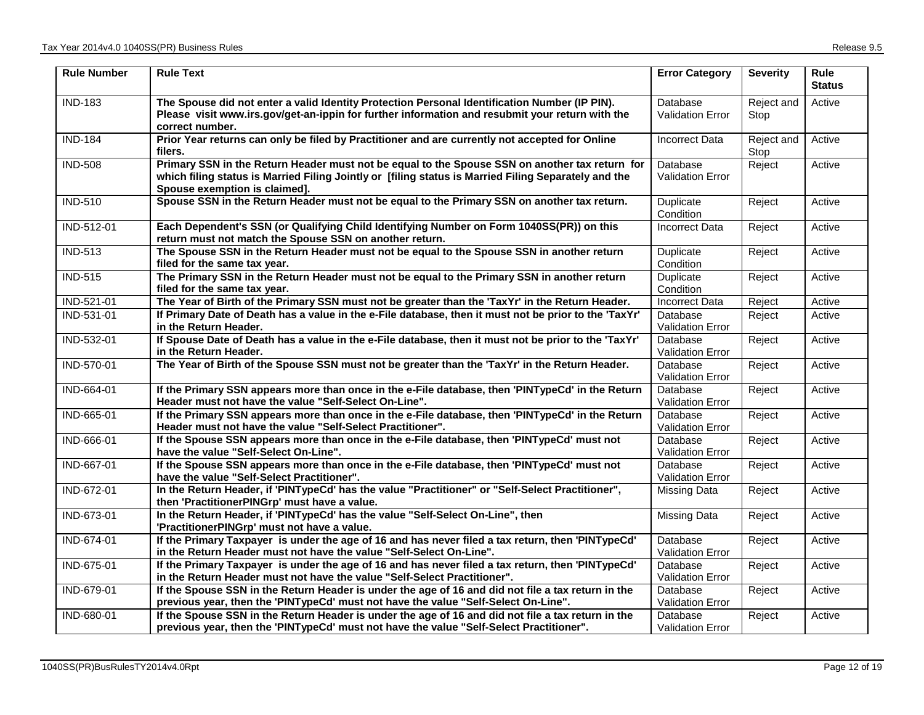| <b>Rule Number</b> | <b>Rule Text</b>                                                                                                                                                                                                                        | <b>Error Category</b>               | <b>Severity</b>    | Rule<br><b>Status</b> |
|--------------------|-----------------------------------------------------------------------------------------------------------------------------------------------------------------------------------------------------------------------------------------|-------------------------------------|--------------------|-----------------------|
| <b>IND-183</b>     | The Spouse did not enter a valid Identity Protection Personal Identification Number (IP PIN).<br>Please visit www.irs.gov/get-an-ippin for further information and resubmit your return with the<br>correct number.                     | Database<br><b>Validation Error</b> | Reject and<br>Stop | Active                |
| <b>IND-184</b>     | Prior Year returns can only be filed by Practitioner and are currently not accepted for Online<br>filers.                                                                                                                               | <b>Incorrect Data</b>               | Reject and<br>Stop | Active                |
| <b>IND-508</b>     | Primary SSN in the Return Header must not be equal to the Spouse SSN on another tax return for<br>which filing status is Married Filing Jointly or [filing status is Married Filing Separately and the<br>Spouse exemption is claimed]. | Database<br><b>Validation Error</b> | Reject             | Active                |
| <b>IND-510</b>     | Spouse SSN in the Return Header must not be equal to the Primary SSN on another tax return.                                                                                                                                             | Duplicate<br>Condition              | Reject             | Active                |
| IND-512-01         | Each Dependent's SSN (or Qualifying Child Identifying Number on Form 1040SS(PR)) on this<br>return must not match the Spouse SSN on another return.                                                                                     | <b>Incorrect Data</b>               | Reject             | Active                |
| <b>IND-513</b>     | The Spouse SSN in the Return Header must not be equal to the Spouse SSN in another return<br>filed for the same tax year.                                                                                                               | Duplicate<br>Condition              | Reject             | Active                |
| <b>IND-515</b>     | The Primary SSN in the Return Header must not be equal to the Primary SSN in another return<br>filed for the same tax year.                                                                                                             | Duplicate<br>Condition              | Reject             | Active                |
| IND-521-01         | The Year of Birth of the Primary SSN must not be greater than the 'TaxYr' in the Return Header.                                                                                                                                         | <b>Incorrect Data</b>               | Reject             | Active                |
| IND-531-01         | If Primary Date of Death has a value in the e-File database, then it must not be prior to the 'TaxYr'<br>in the Return Header.                                                                                                          | Database<br>Validation Error        | Reject             | Active                |
| IND-532-01         | If Spouse Date of Death has a value in the e-File database, then it must not be prior to the 'TaxYr'<br>in the Return Header.                                                                                                           | Database<br>Validation Error        | Reject             | Active                |
| IND-570-01         | The Year of Birth of the Spouse SSN must not be greater than the 'TaxYr' in the Return Header.                                                                                                                                          | Database<br><b>Validation Error</b> | Reject             | Active                |
| IND-664-01         | If the Primary SSN appears more than once in the e-File database, then 'PINTypeCd' in the Return<br>Header must not have the value "Self-Select On-Line".                                                                               | Database<br><b>Validation Error</b> | Reject             | Active                |
| IND-665-01         | If the Primary SSN appears more than once in the e-File database, then 'PINTypeCd' in the Return<br>Header must not have the value "Self-Select Practitioner".                                                                          | Database<br><b>Validation Error</b> | Reject             | Active                |
| IND-666-01         | If the Spouse SSN appears more than once in the e-File database, then 'PINTypeCd' must not<br>have the value "Self-Select On-Line".                                                                                                     | Database<br><b>Validation Error</b> | Reject             | Active                |
| IND-667-01         | If the Spouse SSN appears more than once in the e-File database, then 'PINTypeCd' must not<br>have the value "Self-Select Practitioner".                                                                                                | Database<br>Validation Error        | Reject             | Active                |
| IND-672-01         | In the Return Header, if 'PINTypeCd' has the value "Practitioner" or "Self-Select Practitioner",<br>then 'PractitionerPINGrp' must have a value.                                                                                        | <b>Missing Data</b>                 | Reject             | Active                |
| IND-673-01         | In the Return Header, if 'PINTypeCd' has the value "Self-Select On-Line", then<br>'PractitionerPINGrp' must not have a value.                                                                                                           | <b>Missing Data</b>                 | Reject             | Active                |
| IND-674-01         | If the Primary Taxpayer is under the age of 16 and has never filed a tax return, then 'PINTypeCd'<br>in the Return Header must not have the value "Self-Select On-Line".                                                                | Database<br><b>Validation Error</b> | Reject             | Active                |
| IND-675-01         | If the Primary Taxpayer is under the age of 16 and has never filed a tax return, then 'PINTypeCd'<br>in the Return Header must not have the value "Self-Select Practitioner".                                                           | Database<br>Validation Error        | Reject             | Active                |
| IND-679-01         | If the Spouse SSN in the Return Header is under the age of 16 and did not file a tax return in the<br>previous year, then the 'PINTypeCd' must not have the value "Self-Select On-Line".                                                | Database<br>Validation Error        | Reject             | Active                |
| IND-680-01         | If the Spouse SSN in the Return Header is under the age of 16 and did not file a tax return in the<br>previous year, then the 'PINTypeCd' must not have the value "Self-Select Practitioner".                                           | Database<br>Validation Error        | Reject             | Active                |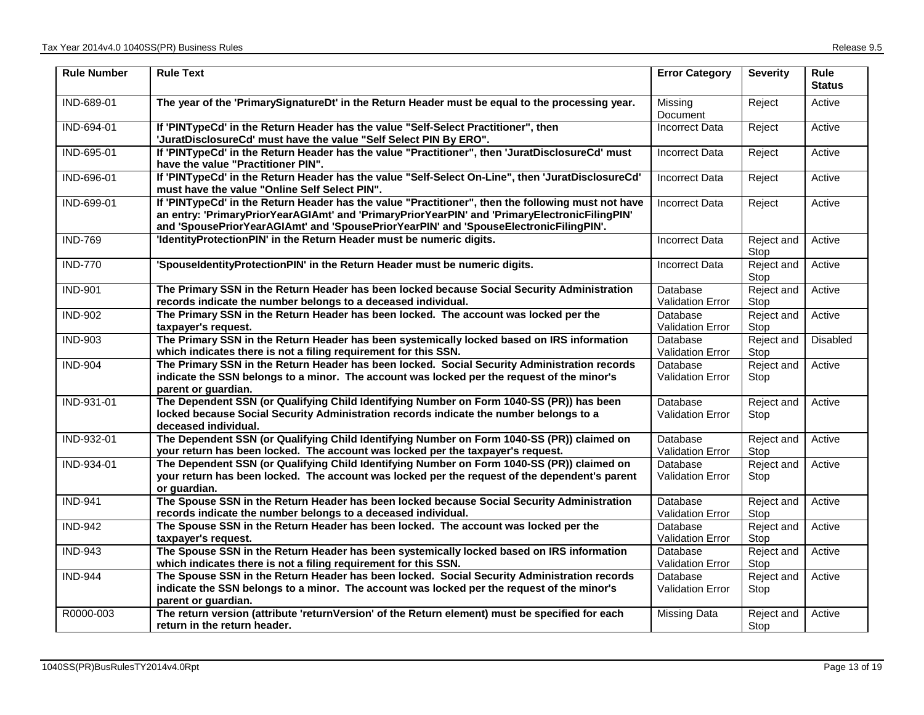| <b>Rule Number</b> | <b>Rule Text</b>                                                                                                                                                                                                                                                                             | <b>Error Category</b>               | <b>Severity</b>    | Rule<br><b>Status</b> |
|--------------------|----------------------------------------------------------------------------------------------------------------------------------------------------------------------------------------------------------------------------------------------------------------------------------------------|-------------------------------------|--------------------|-----------------------|
| IND-689-01         | The year of the 'PrimarySignatureDt' in the Return Header must be equal to the processing year.                                                                                                                                                                                              | Missing<br>Document                 | Reject             | Active                |
| IND-694-01         | If 'PINTypeCd' in the Return Header has the value "Self-Select Practitioner", then<br>'JuratDisclosureCd' must have the value "Self Select PIN By ERO".                                                                                                                                      | Incorrect Data                      | Reject             | Active                |
| IND-695-01         | If 'PINTypeCd' in the Return Header has the value "Practitioner", then 'JuratDisclosureCd' must<br>have the value "Practitioner PIN".                                                                                                                                                        | <b>Incorrect Data</b>               | Reject             | Active                |
| IND-696-01         | If 'PINTypeCd' in the Return Header has the value "Self-Select On-Line", then 'JuratDisclosureCd'<br>must have the value "Online Self Select PIN".                                                                                                                                           | <b>Incorrect Data</b>               | Reject             | Active                |
| IND-699-01         | If 'PINTypeCd' in the Return Header has the value "Practitioner", then the following must not have<br>an entry: 'PrimaryPriorYearAGIAmt' and 'PrimaryPriorYearPIN' and 'PrimaryElectronicFilingPIN'<br>and 'SpousePriorYearAGIAmt' and 'SpousePriorYearPIN' and 'SpouseElectronicFilingPIN'. | <b>Incorrect Data</b>               | Reject             | Active                |
| <b>IND-769</b>     | 'IdentityProtectionPIN' in the Return Header must be numeric digits.                                                                                                                                                                                                                         | <b>Incorrect Data</b>               | Reject and<br>Stop | Active                |
| <b>IND-770</b>     | 'SpouseldentityProtectionPIN' in the Return Header must be numeric digits.                                                                                                                                                                                                                   | <b>Incorrect Data</b>               | Reject and<br>Stop | Active                |
| <b>IND-901</b>     | The Primary SSN in the Return Header has been locked because Social Security Administration<br>records indicate the number belongs to a deceased individual.                                                                                                                                 | Database<br>Validation Error        | Reject and<br>Stop | Active                |
| <b>IND-902</b>     | The Primary SSN in the Return Header has been locked. The account was locked per the<br>taxpayer's request.                                                                                                                                                                                  | Database<br><b>Validation Error</b> | Reject and<br>Stop | Active                |
| <b>IND-903</b>     | The Primary SSN in the Return Header has been systemically locked based on IRS information<br>which indicates there is not a filing requirement for this SSN.                                                                                                                                | Database<br>Validation Error        | Reject and<br>Stop | <b>Disabled</b>       |
| <b>IND-904</b>     | The Primary SSN in the Return Header has been locked. Social Security Administration records<br>indicate the SSN belongs to a minor. The account was locked per the request of the minor's<br>parent or guardian.                                                                            | Database<br><b>Validation Error</b> | Reject and<br>Stop | Active                |
| IND-931-01         | The Dependent SSN (or Qualifying Child Identifying Number on Form 1040-SS (PR)) has been<br>locked because Social Security Administration records indicate the number belongs to a<br>deceased individual.                                                                                   | Database<br><b>Validation Error</b> | Reject and<br>Stop | Active                |
| IND-932-01         | The Dependent SSN (or Qualifying Child Identifying Number on Form 1040-SS (PR)) claimed on<br>your return has been locked. The account was locked per the taxpayer's request.                                                                                                                | Database<br>Validation Error        | Reject and<br>Stop | Active                |
| IND-934-01         | The Dependent SSN (or Qualifying Child Identifying Number on Form 1040-SS (PR)) claimed on<br>your return has been locked. The account was locked per the request of the dependent's parent<br>or guardian.                                                                                  | Database<br><b>Validation Error</b> | Reject and<br>Stop | Active                |
| <b>IND-941</b>     | The Spouse SSN in the Return Header has been locked because Social Security Administration<br>records indicate the number belongs to a deceased individual.                                                                                                                                  | Database<br><b>Validation Error</b> | Reject and<br>Stop | Active                |
| <b>IND-942</b>     | The Spouse SSN in the Return Header has been locked. The account was locked per the<br>taxpayer's request.                                                                                                                                                                                   | Database<br>Validation Error        | Reject and<br>Stop | Active                |
| <b>IND-943</b>     | The Spouse SSN in the Return Header has been systemically locked based on IRS information<br>which indicates there is not a filing requirement for this SSN.                                                                                                                                 | Database<br>Validation Error        | Reject and<br>Stop | Active                |
| <b>IND-944</b>     | The Spouse SSN in the Return Header has been locked. Social Security Administration records<br>indicate the SSN belongs to a minor. The account was locked per the request of the minor's<br>parent or guardian.                                                                             | Database<br><b>Validation Error</b> | Reject and<br>Stop | Active                |
| R0000-003          | The return version (attribute 'returnVersion' of the Return element) must be specified for each<br>return in the return header.                                                                                                                                                              | Missing Data                        | Reject and<br>Stop | Active                |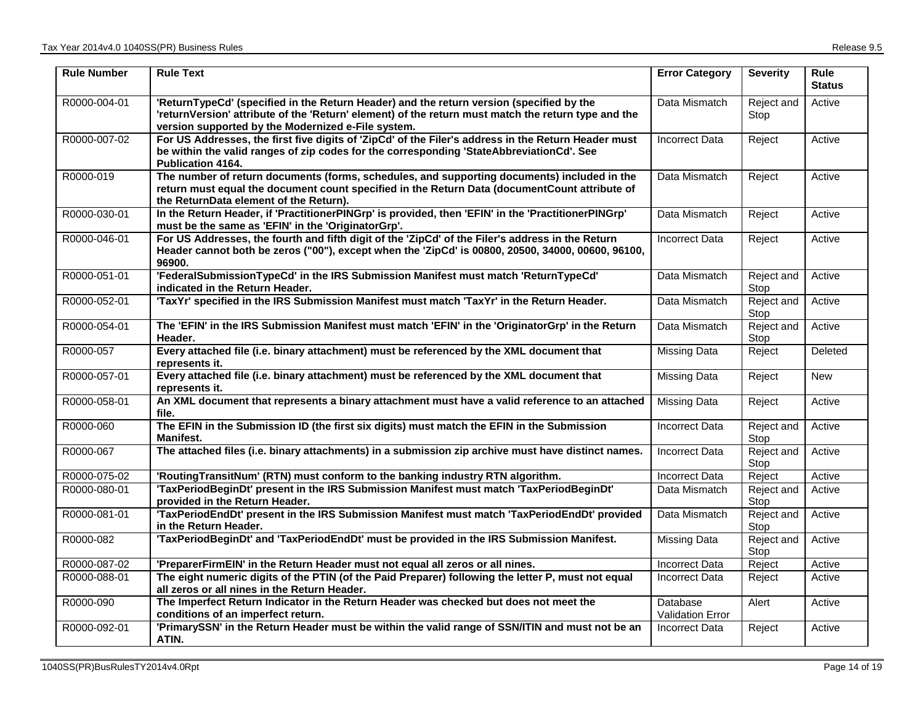| <b>Rule Number</b> | <b>Rule Text</b>                                                                                                                                                                                                                                      | <b>Error Category</b>        | <b>Severity</b>    | <b>Rule</b><br><b>Status</b> |
|--------------------|-------------------------------------------------------------------------------------------------------------------------------------------------------------------------------------------------------------------------------------------------------|------------------------------|--------------------|------------------------------|
| R0000-004-01       | 'ReturnTypeCd' (specified in the Return Header) and the return version (specified by the<br>'returnVersion' attribute of the 'Return' element) of the return must match the return type and the<br>version supported by the Modernized e-File system. | Data Mismatch                | Reject and<br>Stop | Active                       |
| R0000-007-02       | For US Addresses, the first five digits of 'ZipCd' of the Filer's address in the Return Header must<br>be within the valid ranges of zip codes for the corresponding 'StateAbbreviationCd'. See<br><b>Publication 4164.</b>                           | <b>Incorrect Data</b>        | Reject             | Active                       |
| R0000-019          | The number of return documents (forms, schedules, and supporting documents) included in the<br>return must equal the document count specified in the Return Data (documentCount attribute of<br>the ReturnData element of the Return).                | Data Mismatch                | Reject             | Active                       |
| R0000-030-01       | In the Return Header, if 'PractitionerPINGrp' is provided, then 'EFIN' in the 'PractitionerPINGrp'<br>must be the same as 'EFIN' in the 'OriginatorGrp'.                                                                                              | Data Mismatch                | Reject             | Active                       |
| R0000-046-01       | For US Addresses, the fourth and fifth digit of the 'ZipCd' of the Filer's address in the Return<br>Header cannot both be zeros ("00"), except when the 'ZipCd' is 00800, 20500, 34000, 00600, 96100,<br>96900.                                       | Incorrect Data               | Reject             | Active                       |
| R0000-051-01       | 'FederalSubmissionTypeCd' in the IRS Submission Manifest must match 'ReturnTypeCd'<br>indicated in the Return Header.                                                                                                                                 | Data Mismatch                | Reject and<br>Stop | Active                       |
| R0000-052-01       | 'TaxYr' specified in the IRS Submission Manifest must match 'TaxYr' in the Return Header.                                                                                                                                                             | Data Mismatch                | Reject and<br>Stop | Active                       |
| R0000-054-01       | The 'EFIN' in the IRS Submission Manifest must match 'EFIN' in the 'OriginatorGrp' in the Return<br>Header.                                                                                                                                           | Data Mismatch                | Reject and<br>Stop | Active                       |
| R0000-057          | Every attached file (i.e. binary attachment) must be referenced by the XML document that<br>represents it.                                                                                                                                            | Missing Data                 | Reject             | Deleted                      |
| R0000-057-01       | Every attached file (i.e. binary attachment) must be referenced by the XML document that<br>represents it.                                                                                                                                            | <b>Missing Data</b>          | Reject             | <b>New</b>                   |
| R0000-058-01       | An XML document that represents a binary attachment must have a valid reference to an attached<br>file.                                                                                                                                               | <b>Missing Data</b>          | Reject             | Active                       |
| R0000-060          | The EFIN in the Submission ID (the first six digits) must match the EFIN in the Submission<br><b>Manifest.</b>                                                                                                                                        | <b>Incorrect Data</b>        | Reject and<br>Stop | Active                       |
| R0000-067          | The attached files (i.e. binary attachments) in a submission zip archive must have distinct names.                                                                                                                                                    | Incorrect Data               | Reject and<br>Stop | Active                       |
| R0000-075-02       | 'RoutingTransitNum' (RTN) must conform to the banking industry RTN algorithm.                                                                                                                                                                         | <b>Incorrect Data</b>        | Reject             | Active                       |
| R0000-080-01       | 'TaxPeriodBeginDt' present in the IRS Submission Manifest must match 'TaxPeriodBeginDt'<br>provided in the Return Header.                                                                                                                             | Data Mismatch                | Reject and<br>Stop | Active                       |
| R0000-081-01       | 'TaxPeriodEndDt' present in the IRS Submission Manifest must match 'TaxPeriodEndDt' provided<br>in the Return Header.                                                                                                                                 | Data Mismatch                | Reject and<br>Stop | Active                       |
| R0000-082          | 'TaxPeriodBeginDt' and 'TaxPeriodEndDt' must be provided in the IRS Submission Manifest.                                                                                                                                                              | Missing Data                 | Reject and<br>Stop | Active                       |
| R0000-087-02       | 'PreparerFirmEIN' in the Return Header must not equal all zeros or all nines.                                                                                                                                                                         | <b>Incorrect Data</b>        | Reject             | Active                       |
| R0000-088-01       | The eight numeric digits of the PTIN (of the Paid Preparer) following the letter P, must not equal<br>all zeros or all nines in the Return Header.                                                                                                    | <b>Incorrect Data</b>        | Reject             | Active                       |
| R0000-090          | The Imperfect Return Indicator in the Return Header was checked but does not meet the<br>conditions of an imperfect return.                                                                                                                           | Database<br>Validation Error | Alert              | Active                       |
| R0000-092-01       | 'PrimarySSN' in the Return Header must be within the valid range of SSN/ITIN and must not be an<br>ATIN.                                                                                                                                              | <b>Incorrect Data</b>        | Reject             | Active                       |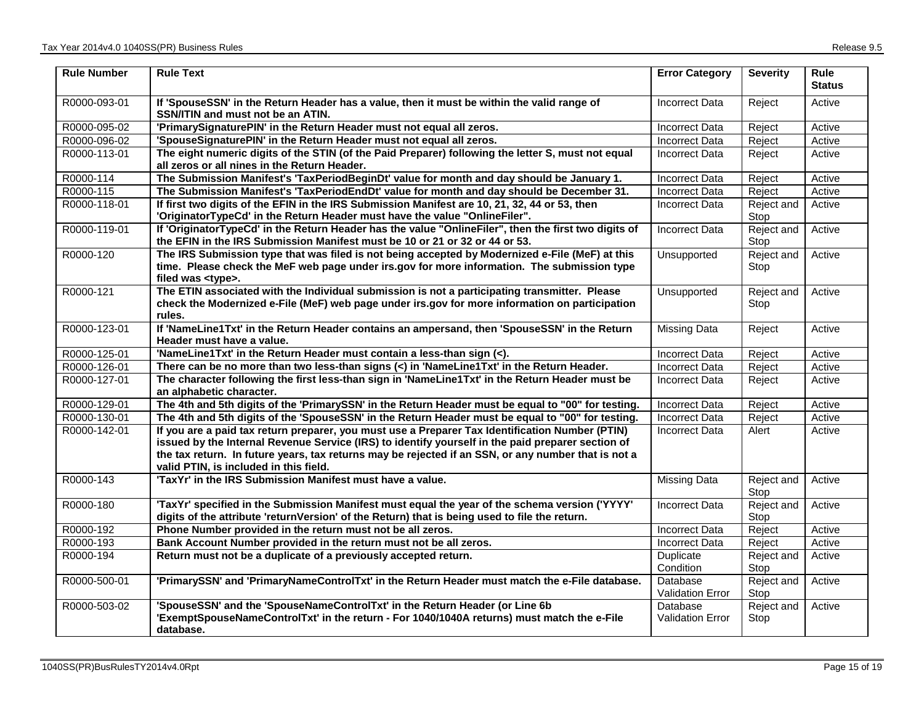| <b>Rule Number</b> | <b>Rule Text</b>                                                                                                                                                                                                                                                                                                                                      | <b>Error Category</b>               | <b>Severity</b>    | <b>Rule</b><br><b>Status</b> |
|--------------------|-------------------------------------------------------------------------------------------------------------------------------------------------------------------------------------------------------------------------------------------------------------------------------------------------------------------------------------------------------|-------------------------------------|--------------------|------------------------------|
| R0000-093-01       | If 'SpouseSSN' in the Return Header has a value, then it must be within the valid range of<br>SSN/ITIN and must not be an ATIN.                                                                                                                                                                                                                       | <b>Incorrect Data</b>               | Reject             | Active                       |
| R0000-095-02       | 'PrimarySignaturePIN' in the Return Header must not equal all zeros.                                                                                                                                                                                                                                                                                  | <b>Incorrect Data</b>               | Reject             | Active                       |
| R0000-096-02       | 'SpouseSignaturePIN' in the Return Header must not equal all zeros.                                                                                                                                                                                                                                                                                   | <b>Incorrect Data</b>               | Reject             | Active                       |
| R0000-113-01       | The eight numeric digits of the STIN (of the Paid Preparer) following the letter S, must not equal<br>all zeros or all nines in the Return Header.                                                                                                                                                                                                    | <b>Incorrect Data</b>               | Reject             | Active                       |
| R0000-114          | The Submission Manifest's 'TaxPeriodBeginDt' value for month and day should be January 1.                                                                                                                                                                                                                                                             | <b>Incorrect Data</b>               | Reject             | Active                       |
| R0000-115          | The Submission Manifest's 'TaxPeriodEndDt' value for month and day should be December 31.                                                                                                                                                                                                                                                             | <b>Incorrect Data</b>               | Reject             | Active                       |
| R0000-118-01       | If first two digits of the EFIN in the IRS Submission Manifest are 10, 21, 32, 44 or 53, then<br>'OriginatorTypeCd' in the Return Header must have the value "OnlineFiler".                                                                                                                                                                           | Incorrect Data                      | Reject and<br>Stop | Active                       |
| R0000-119-01       | If 'OriginatorTypeCd' in the Return Header has the value "OnlineFiler", then the first two digits of<br>the EFIN in the IRS Submission Manifest must be 10 or 21 or 32 or 44 or 53.                                                                                                                                                                   | <b>Incorrect Data</b>               | Reject and<br>Stop | Active                       |
| R0000-120          | The IRS Submission type that was filed is not being accepted by Modernized e-File (MeF) at this<br>time. Please check the MeF web page under irs.gov for more information. The submission type<br>filed was <type>.</type>                                                                                                                            | Unsupported                         | Reject and<br>Stop | Active                       |
| R0000-121          | The ETIN associated with the Individual submission is not a participating transmitter. Please<br>check the Modernized e-File (MeF) web page under irs.gov for more information on participation<br>rules.                                                                                                                                             | Unsupported                         | Reject and<br>Stop | Active                       |
| R0000-123-01       | If 'NameLine1Txt' in the Return Header contains an ampersand, then 'SpouseSSN' in the Return<br>Header must have a value.                                                                                                                                                                                                                             | <b>Missing Data</b>                 | Reject             | Active                       |
| R0000-125-01       | 'NameLine1Txt' in the Return Header must contain a less-than sign (<).                                                                                                                                                                                                                                                                                | <b>Incorrect Data</b>               | Reject             | Active                       |
| R0000-126-01       | There can be no more than two less-than signs (<) in 'NameLine1Txt' in the Return Header.                                                                                                                                                                                                                                                             | <b>Incorrect Data</b>               | Reject             | Active                       |
| R0000-127-01       | The character following the first less-than sign in 'NameLine1Txt' in the Return Header must be<br>an alphabetic character.                                                                                                                                                                                                                           | <b>Incorrect Data</b>               | Reject             | Active                       |
| R0000-129-01       | The 4th and 5th digits of the 'PrimarySSN' in the Return Header must be equal to "00" for testing.                                                                                                                                                                                                                                                    | <b>Incorrect Data</b>               | Reject             | Active                       |
| R0000-130-01       | The 4th and 5th digits of the 'SpouseSSN' in the Return Header must be equal to "00" for testing.                                                                                                                                                                                                                                                     | Incorrect Data                      | Reject             | Active                       |
| R0000-142-01       | If you are a paid tax return preparer, you must use a Preparer Tax Identification Number (PTIN)<br>issued by the Internal Revenue Service (IRS) to identify yourself in the paid preparer section of<br>the tax return. In future years, tax returns may be rejected if an SSN, or any number that is not a<br>valid PTIN, is included in this field. | Incorrect Data                      | Alert              | Active                       |
| R0000-143          | 'TaxYr' in the IRS Submission Manifest must have a value.                                                                                                                                                                                                                                                                                             | <b>Missing Data</b>                 | Reject and<br>Stop | Active                       |
| R0000-180          | "TaxYr' specified in the Submission Manifest must equal the year of the schema version ('YYYY'<br>digits of the attribute 'returnVersion' of the Return) that is being used to file the return.                                                                                                                                                       | Incorrect Data                      | Reject and<br>Stop | Active                       |
| R0000-192          | Phone Number provided in the return must not be all zeros.                                                                                                                                                                                                                                                                                            | <b>Incorrect Data</b>               | Reject             | Active                       |
| R0000-193          | Bank Account Number provided in the return must not be all zeros.                                                                                                                                                                                                                                                                                     | <b>Incorrect Data</b>               | Reject             | Active                       |
| R0000-194          | Return must not be a duplicate of a previously accepted return.                                                                                                                                                                                                                                                                                       | Duplicate<br>Condition              | Reject and<br>Stop | Active                       |
| R0000-500-01       | 'PrimarySSN' and 'PrimaryNameControlTxt' in the Return Header must match the e-File database.                                                                                                                                                                                                                                                         | Database<br>Validation Error        | Reject and<br>Stop | Active                       |
| R0000-503-02       | 'SpouseSSN' and the 'SpouseNameControlTxt' in the Return Header (or Line 6b<br>'ExemptSpouseNameControlTxt' in the return - For 1040/1040A returns) must match the e-File<br>database.                                                                                                                                                                | Database<br><b>Validation Error</b> | Reject and<br>Stop | Active                       |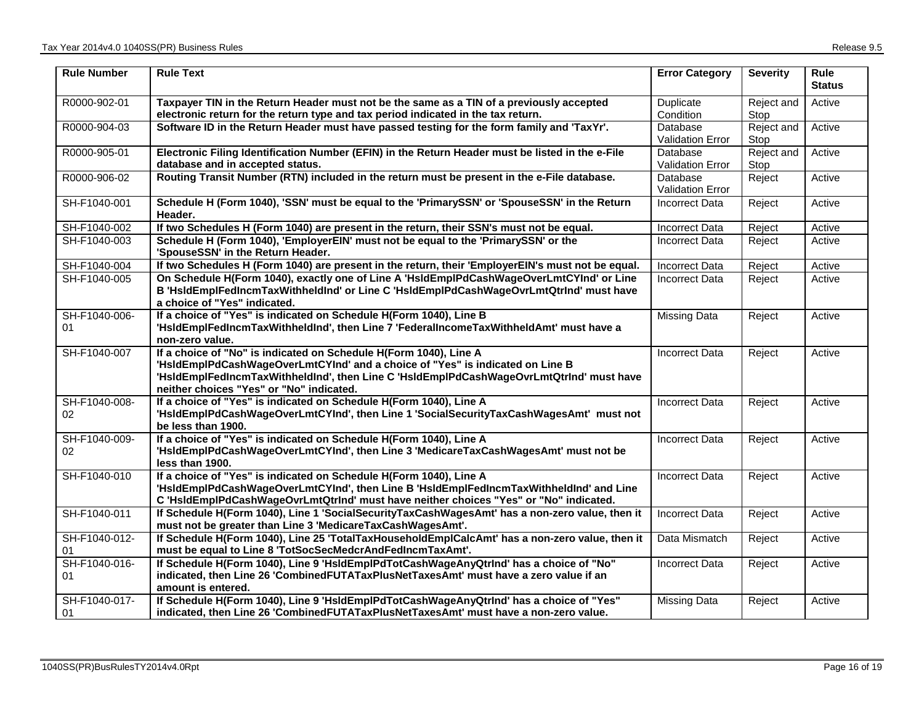| <b>Rule Number</b>  | <b>Rule Text</b>                                                                                                                                                                                                                                                                          | <b>Error Category</b>               | <b>Severity</b>    | Rule<br><b>Status</b> |
|---------------------|-------------------------------------------------------------------------------------------------------------------------------------------------------------------------------------------------------------------------------------------------------------------------------------------|-------------------------------------|--------------------|-----------------------|
| R0000-902-01        | Taxpayer TIN in the Return Header must not be the same as a TIN of a previously accepted<br>electronic return for the return type and tax period indicated in the tax return.                                                                                                             | Duplicate<br>Condition              | Reject and<br>Stop | Active                |
| R0000-904-03        | Software ID in the Return Header must have passed testing for the form family and 'TaxYr'.                                                                                                                                                                                                | Database<br><b>Validation Error</b> | Reject and<br>Stop | Active                |
| R0000-905-01        | Electronic Filing Identification Number (EFIN) in the Return Header must be listed in the e-File<br>database and in accepted status.                                                                                                                                                      | Database<br><b>Validation Error</b> | Reject and<br>Stop | Active                |
| R0000-906-02        | Routing Transit Number (RTN) included in the return must be present in the e-File database.                                                                                                                                                                                               | Database<br>Validation Error        | Reject             | Active                |
| SH-F1040-001        | Schedule H (Form 1040), 'SSN' must be equal to the 'PrimarySSN' or 'SpouseSSN' in the Return<br>Header.                                                                                                                                                                                   | <b>Incorrect Data</b>               | Reject             | Active                |
| SH-F1040-002        | If two Schedules H (Form 1040) are present in the return, their SSN's must not be equal.                                                                                                                                                                                                  | <b>Incorrect Data</b>               | Reject             | Active                |
| SH-F1040-003        | Schedule H (Form 1040), 'EmployerEIN' must not be equal to the 'PrimarySSN' or the<br>'SpouseSSN' in the Return Header.                                                                                                                                                                   | <b>Incorrect Data</b>               | Reject             | Active                |
| SH-F1040-004        | If two Schedules H (Form 1040) are present in the return, their 'EmployerEIN's must not be equal.                                                                                                                                                                                         | <b>Incorrect Data</b>               | Reject             | Active                |
| SH-F1040-005        | On Schedule H(Form 1040), exactly one of Line A 'HsldEmplPdCashWageOverLmtCYInd' or Line<br>B 'HsIdEmpIFedIncmTaxWithheldInd' or Line C 'HsIdEmpIPdCashWageOvrLmtQtrInd' must have<br>a choice of "Yes" indicated.                                                                        | <b>Incorrect Data</b>               | Reject             | Active                |
| SH-F1040-006-<br>01 | If a choice of "Yes" is indicated on Schedule H(Form 1040), Line B<br>'HsIdEmplFedIncmTaxWithheldInd', then Line 7 'FederalIncomeTaxWithheldAmt' must have a<br>non-zero value.                                                                                                           | Missing Data                        | Reject             | Active                |
| SH-F1040-007        | If a choice of "No" is indicated on Schedule H(Form 1040), Line A<br>'HsIdEmpIPdCashWageOverLmtCYInd' and a choice of "Yes" is indicated on Line B<br>'HsIdEmplFedIncmTaxWithheldInd', then Line C 'HsIdEmplPdCashWageOvrLmtQtrInd' must have<br>neither choices "Yes" or "No" indicated. | <b>Incorrect Data</b>               | Reject             | Active                |
| SH-F1040-008-<br>02 | If a choice of "Yes" is indicated on Schedule H(Form 1040), Line A<br>'HsIdEmpIPdCashWageOverLmtCYInd', then Line 1 'SocialSecurityTaxCashWagesAmt' must not<br>be less than 1900.                                                                                                        | <b>Incorrect Data</b>               | Reject             | Active                |
| SH-F1040-009-<br>02 | If a choice of "Yes" is indicated on Schedule H(Form 1040), Line A<br>'HsIdEmplPdCashWageOverLmtCYInd', then Line 3 'MedicareTaxCashWagesAmt' must not be<br>less than 1900.                                                                                                              | <b>Incorrect Data</b>               | Reject             | Active                |
| SH-F1040-010        | If a choice of "Yes" is indicated on Schedule H(Form 1040), Line A<br>'HsIdEmpIPdCashWageOverLmtCYInd', then Line B 'HsIdEmpIFedIncmTaxWithheldInd' and Line<br>C 'HsIdEmpIPdCashWageOvrLmtQtrInd' must have neither choices "Yes" or "No" indicated.                                     | <b>Incorrect Data</b>               | Reject             | Active                |
| SH-F1040-011        | If Schedule H(Form 1040), Line 1 'SocialSecurityTaxCashWagesAmt' has a non-zero value, then it<br>must not be greater than Line 3 'MedicareTaxCashWagesAmt'.                                                                                                                              | <b>Incorrect Data</b>               | Reject             | Active                |
| SH-F1040-012-<br>01 | If Schedule H(Form 1040), Line 25 'TotalTaxHouseholdEmplCalcAmt' has a non-zero value, then it<br>must be equal to Line 8 'TotSocSecMedcrAndFedIncmTaxAmt'.                                                                                                                               | Data Mismatch                       | Reject             | Active                |
| SH-F1040-016-<br>01 | If Schedule H(Form 1040), Line 9 'HsldEmplPdTotCashWageAnyQtrInd' has a choice of "No"<br>indicated, then Line 26 'CombinedFUTATaxPlusNetTaxesAmt' must have a zero value if an<br>amount is entered.                                                                                     | <b>Incorrect Data</b>               | Reject             | Active                |
| SH-F1040-017-<br>01 | If Schedule H(Form 1040), Line 9 'HsIdEmpIPdTotCashWageAnyQtrInd' has a choice of "Yes"<br>indicated, then Line 26 'CombinedFUTATaxPlusNetTaxesAmt' must have a non-zero value.                                                                                                           | Missing Data                        | Reject             | Active                |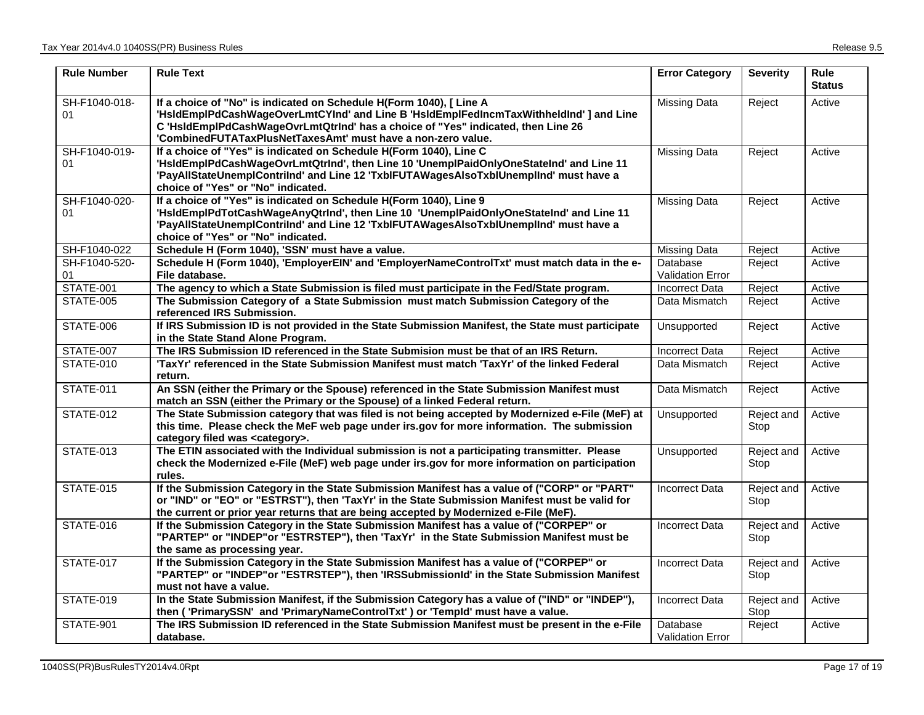| <b>Rule Number</b>  | <b>Rule Text</b>                                                                                                                                                                                                                                                                                                  | <b>Error Category</b>               | <b>Severity</b>    | <b>Rule</b><br><b>Status</b> |
|---------------------|-------------------------------------------------------------------------------------------------------------------------------------------------------------------------------------------------------------------------------------------------------------------------------------------------------------------|-------------------------------------|--------------------|------------------------------|
| SH-F1040-018-<br>01 | If a choice of "No" is indicated on Schedule H(Form 1040), [ Line A<br>'HsIdEmplPdCashWageOverLmtCYInd' and Line B 'HsIdEmplFedIncmTaxWithheldInd' ] and Line<br>C 'HsIdEmplPdCashWageOvrLmtQtrInd' has a choice of "Yes" indicated, then Line 26<br>'CombinedFUTATaxPlusNetTaxesAmt' must have a non-zero value. | <b>Missing Data</b>                 | Reject             | Active                       |
| SH-F1040-019-<br>01 | If a choice of "Yes" is indicated on Schedule H(Form 1040), Line C<br>'HsIdEmplPdCashWageOvrLmtQtrInd', then Line 10 'UnemplPaidOnlyOneStateInd' and Line 11<br>'PayAllStateUnemplContrilnd' and Line 12 'TxblFUTAWagesAlsoTxblUnemplInd' must have a<br>choice of "Yes" or "No" indicated.                       | <b>Missing Data</b>                 | Reject             | Active                       |
| SH-F1040-020-<br>01 | If a choice of "Yes" is indicated on Schedule H(Form 1040), Line 9<br>'HsIdEmplPdTotCashWageAnyQtrInd', then Line 10 'UnemplPaidOnlyOneStateInd' and Line 11<br>'PayAllStateUnemplContriInd' and Line 12 'TxblFUTAWagesAlsoTxblUnemplInd' must have a<br>choice of "Yes" or "No" indicated.                       | <b>Missing Data</b>                 | Reject             | Active                       |
| SH-F1040-022        | Schedule H (Form 1040), 'SSN' must have a value.                                                                                                                                                                                                                                                                  | <b>Missing Data</b>                 | Reject             | Active                       |
| SH-F1040-520-<br>01 | Schedule H (Form 1040), 'EmployerEIN' and 'EmployerNameControlTxt' must match data in the e-<br>File database.                                                                                                                                                                                                    | Database<br>Validation Error        | Reject             | Active                       |
| <b>STATE-001</b>    | The agency to which a State Submission is filed must participate in the Fed/State program.                                                                                                                                                                                                                        | Incorrect Data                      | Reject             | Active                       |
| <b>STATE-005</b>    | The Submission Category of a State Submission must match Submission Category of the<br>referenced IRS Submission.                                                                                                                                                                                                 | Data Mismatch                       | Reject             | Active                       |
| STATE-006           | If IRS Submission ID is not provided in the State Submission Manifest, the State must participate<br>in the State Stand Alone Program.                                                                                                                                                                            | Unsupported                         | Reject             | Active                       |
| STATE-007           | The IRS Submission ID referenced in the State Submision must be that of an IRS Return.                                                                                                                                                                                                                            | <b>Incorrect Data</b>               | Reject             | Active                       |
| <b>STATE-010</b>    | 'TaxYr' referenced in the State Submission Manifest must match 'TaxYr' of the linked Federal<br>return.                                                                                                                                                                                                           | Data Mismatch                       | Reject             | Active                       |
| STATE-011           | An SSN (either the Primary or the Spouse) referenced in the State Submission Manifest must<br>match an SSN (either the Primary or the Spouse) of a linked Federal return.                                                                                                                                         | Data Mismatch                       | Reject             | Active                       |
| STATE-012           | The State Submission category that was filed is not being accepted by Modernized e-File (MeF) at<br>this time. Please check the MeF web page under irs.gov for more information. The submission<br>category filed was <category>.</category>                                                                      | Unsupported                         | Reject and<br>Stop | Active                       |
| STATE-013           | The ETIN associated with the Individual submission is not a participating transmitter. Please<br>check the Modernized e-File (MeF) web page under irs.gov for more information on participation<br>rules.                                                                                                         | Unsupported                         | Reject and<br>Stop | Active                       |
| <b>STATE-015</b>    | If the Submission Category in the State Submission Manifest has a value of ("CORP" or "PART"<br>or "IND" or "EO" or "ESTRST"), then 'TaxYr' in the State Submission Manifest must be valid for<br>the current or prior year returns that are being accepted by Modernized e-File (MeF).                           | <b>Incorrect Data</b>               | Reject and<br>Stop | Active                       |
| <b>STATE-016</b>    | If the Submission Category in the State Submission Manifest has a value of ("CORPEP" or<br>"PARTEP" or "INDEP"or "ESTRSTEP"), then 'TaxYr' in the State Submission Manifest must be<br>the same as processing year.                                                                                               | Incorrect Data                      | Reject and<br>Stop | Active                       |
| STATE-017           | If the Submission Category in the State Submission Manifest has a value of ("CORPEP" or<br>"PARTEP" or "INDEP"or "ESTRSTEP"), then 'IRSSubmissionId' in the State Submission Manifest<br>must not have a value.                                                                                                   | <b>Incorrect Data</b>               | Reject and<br>Stop | Active                       |
| STATE-019           | In the State Submission Manifest, if the Submission Category has a value of ("IND" or "INDEP"),<br>then ('PrimarySSN' and 'PrimaryNameControlTxt') or 'Templd' must have a value.                                                                                                                                 | <b>Incorrect Data</b>               | Reject and<br>Stop | Active                       |
| STATE-901           | The IRS Submission ID referenced in the State Submission Manifest must be present in the e-File<br>database.                                                                                                                                                                                                      | Database<br><b>Validation Error</b> | Reject             | Active                       |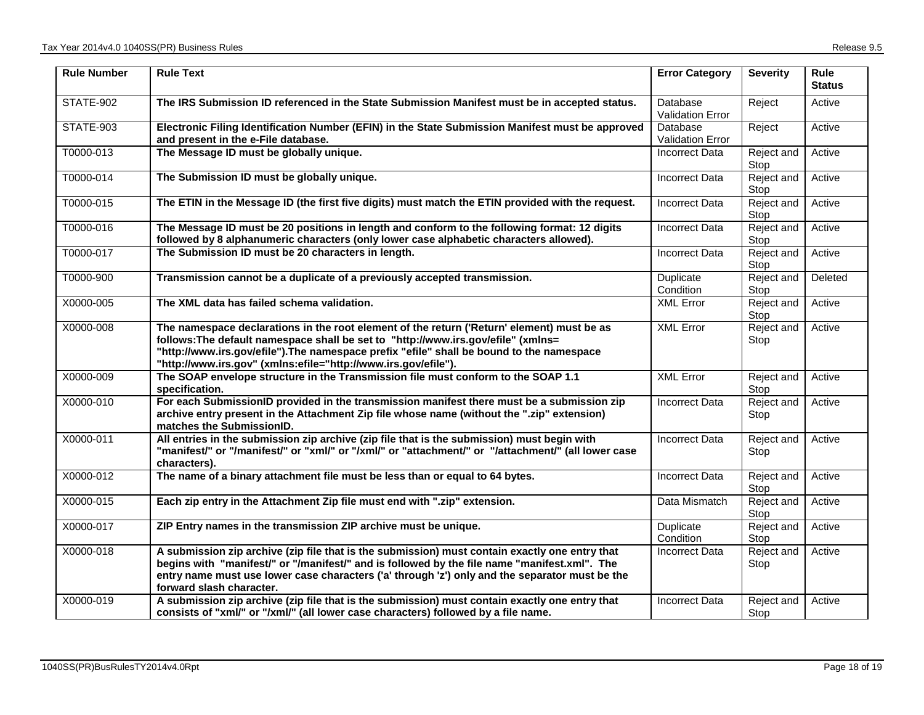| <b>Rule Number</b> | <b>Rule Text</b>                                                                                                                                                                                                                                                                                                                              | <b>Error Category</b>               | <b>Severity</b>    | Rule<br><b>Status</b> |
|--------------------|-----------------------------------------------------------------------------------------------------------------------------------------------------------------------------------------------------------------------------------------------------------------------------------------------------------------------------------------------|-------------------------------------|--------------------|-----------------------|
| STATE-902          | The IRS Submission ID referenced in the State Submission Manifest must be in accepted status.                                                                                                                                                                                                                                                 | Database<br><b>Validation Error</b> | Reject             | Active                |
| STATE-903          | Electronic Filing Identification Number (EFIN) in the State Submission Manifest must be approved<br>and present in the e-File database.                                                                                                                                                                                                       | Database<br><b>Validation Error</b> | Reject             | Active                |
| T0000-013          | The Message ID must be globally unique.                                                                                                                                                                                                                                                                                                       | Incorrect Data                      | Reject and<br>Stop | Active                |
| T0000-014          | The Submission ID must be globally unique.                                                                                                                                                                                                                                                                                                    | <b>Incorrect Data</b>               | Reject and<br>Stop | Active                |
| T0000-015          | The ETIN in the Message ID (the first five digits) must match the ETIN provided with the request.                                                                                                                                                                                                                                             | Incorrect Data                      | Reject and<br>Stop | Active                |
| T0000-016          | The Message ID must be 20 positions in length and conform to the following format: 12 digits<br>followed by 8 alphanumeric characters (only lower case alphabetic characters allowed).                                                                                                                                                        | <b>Incorrect Data</b>               | Reject and<br>Stop | Active                |
| T0000-017          | The Submission ID must be 20 characters in length.                                                                                                                                                                                                                                                                                            | <b>Incorrect Data</b>               | Reject and<br>Stop | Active                |
| T0000-900          | Transmission cannot be a duplicate of a previously accepted transmission.                                                                                                                                                                                                                                                                     | Duplicate<br>Condition              | Reject and<br>Stop | Deleted               |
| X0000-005          | The XML data has failed schema validation.                                                                                                                                                                                                                                                                                                    | <b>XML Error</b>                    | Reject and<br>Stop | Active                |
| X0000-008          | The namespace declarations in the root element of the return ('Return' element) must be as<br>follows: The default namespace shall be set to "http://www.irs.gov/efile" (xmlns=<br>"http://www.irs.gov/efile").The namespace prefix "efile" shall be bound to the namespace<br>"http://www.irs.gov" (xmlns:efile="http://www.irs.gov/efile"). | <b>XML Error</b>                    | Reject and<br>Stop | Active                |
| X0000-009          | The SOAP envelope structure in the Transmission file must conform to the SOAP 1.1<br>specification.                                                                                                                                                                                                                                           | <b>XML Error</b>                    | Reject and<br>Stop | Active                |
| X0000-010          | For each SubmissionID provided in the transmission manifest there must be a submission zip<br>archive entry present in the Attachment Zip file whose name (without the ".zip" extension)<br>matches the SubmissionID.                                                                                                                         | <b>Incorrect Data</b>               | Reject and<br>Stop | Active                |
| X0000-011          | All entries in the submission zip archive (zip file that is the submission) must begin with<br>"manifest/" or "/manifest/" or "xml/" or "/xml/" or "attachment/" or "/attachment/" (all lower case<br>characters).                                                                                                                            | <b>Incorrect Data</b>               | Reject and<br>Stop | Active                |
| X0000-012          | The name of a binary attachment file must be less than or equal to 64 bytes.                                                                                                                                                                                                                                                                  | <b>Incorrect Data</b>               | Reject and<br>Stop | Active                |
| X0000-015          | Each zip entry in the Attachment Zip file must end with ".zip" extension.                                                                                                                                                                                                                                                                     | Data Mismatch                       | Reject and<br>Stop | Active                |
| X0000-017          | ZIP Entry names in the transmission ZIP archive must be unique.                                                                                                                                                                                                                                                                               | Duplicate<br>Condition              | Reject and<br>Stop | Active                |
| X0000-018          | A submission zip archive (zip file that is the submission) must contain exactly one entry that<br>begins with "manifest/" or "/manifest/" and is followed by the file name "manifest.xml". The<br>entry name must use lower case characters ('a' through 'z') only and the separator must be the<br>forward slash character.                  | <b>Incorrect Data</b>               | Reject and<br>Stop | Active                |
| X0000-019          | A submission zip archive (zip file that is the submission) must contain exactly one entry that<br>consists of "xml/" or "/xml/" (all lower case characters) followed by a file name.                                                                                                                                                          | <b>Incorrect Data</b>               | Reject and<br>Stop | Active                |